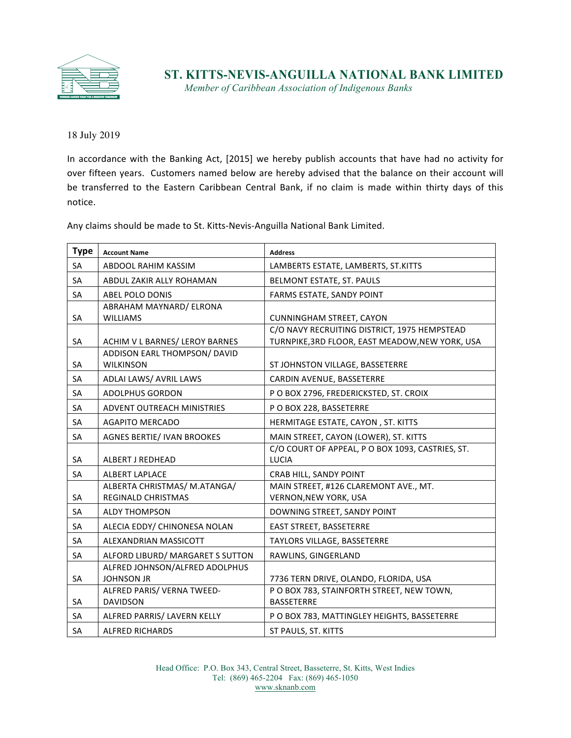

*Member of Caribbean Association of Indigenous Banks*

18 July 2019

In accordance with the Banking Act, [2015] we hereby publish accounts that have had no activity for over fifteen years. Customers named below are hereby advised that the balance on their account will be transferred to the Eastern Caribbean Central Bank, if no claim is made within thirty days of this notice. 

Any claims should be made to St. Kitts-Nevis-Anguilla National Bank Limited.

| <b>Type</b> | <b>Account Name</b>               | <b>Address</b>                                   |
|-------------|-----------------------------------|--------------------------------------------------|
| SA          | ABDOOL RAHIM KASSIM               | LAMBERTS ESTATE, LAMBERTS, ST.KITTS              |
| <b>SA</b>   | ABDUL ZAKIR ALLY ROHAMAN          | BELMONT ESTATE, ST. PAULS                        |
| SA          | <b>ABEL POLO DONIS</b>            | FARMS ESTATE, SANDY POINT                        |
|             | ABRAHAM MAYNARD/ ELRONA           |                                                  |
| SA          | <b>WILLIAMS</b>                   | <b>CUNNINGHAM STREET, CAYON</b>                  |
|             |                                   | C/O NAVY RECRUITING DISTRICT, 1975 HEMPSTEAD     |
| SA          | ACHIM V L BARNES/ LEROY BARNES    | TURNPIKE, 3RD FLOOR, EAST MEADOW, NEW YORK, USA  |
|             | ADDISON EARL THOMPSON/ DAVID      |                                                  |
| SA          | <b>WILKINSON</b>                  | ST JOHNSTON VILLAGE, BASSETERRE                  |
| <b>SA</b>   | ADLAI LAWS/ AVRIL LAWS            | CARDIN AVENUE, BASSETERRE                        |
| <b>SA</b>   | <b>ADOLPHUS GORDON</b>            | PO BOX 2796, FREDERICKSTED, ST. CROIX            |
| <b>SA</b>   | ADVENT OUTREACH MINISTRIES        | PO BOX 228, BASSETERRE                           |
| <b>SA</b>   | <b>AGAPITO MERCADO</b>            | HERMITAGE ESTATE, CAYON, ST. KITTS               |
| <b>SA</b>   | <b>AGNES BERTIE/ IVAN BROOKES</b> | MAIN STREET, CAYON (LOWER), ST. KITTS            |
|             |                                   | C/O COURT OF APPEAL, P O BOX 1093, CASTRIES, ST. |
| SA          | <b>ALBERT J REDHEAD</b>           | LUCIA                                            |
| SA          | <b>ALBERT LAPLACE</b>             | CRAB HILL, SANDY POINT                           |
|             | ALBERTA CHRISTMAS/ M.ATANGA/      | MAIN STREET, #126 CLAREMONT AVE., MT.            |
| SA          | <b>REGINALD CHRISTMAS</b>         | <b>VERNON, NEW YORK, USA</b>                     |
| <b>SA</b>   | <b>ALDY THOMPSON</b>              | DOWNING STREET, SANDY POINT                      |
| SA          | ALECIA EDDY/ CHINONESA NOLAN      | <b>EAST STREET, BASSETERRE</b>                   |
| <b>SA</b>   | ALEXANDRIAN MASSICOTT             | TAYLORS VILLAGE, BASSETERRE                      |
| <b>SA</b>   | ALFORD LIBURD/ MARGARET S SUTTON  | RAWLINS, GINGERLAND                              |
|             | ALFRED JOHNSON/ALFRED ADOLPHUS    |                                                  |
| <b>SA</b>   | <b>JOHNSON JR</b>                 | 7736 TERN DRIVE, OLANDO, FLORIDA, USA            |
|             | ALFRED PARIS/ VERNA TWEED-        | P O BOX 783, STAINFORTH STREET, NEW TOWN,        |
| SA          | <b>DAVIDSON</b>                   | <b>BASSETERRE</b>                                |
| SA          | ALFRED PARRIS/ LAVERN KELLY       | P O BOX 783, MATTINGLEY HEIGHTS, BASSETERRE      |
| SA          | <b>ALFRED RICHARDS</b>            | ST PAULS, ST. KITTS                              |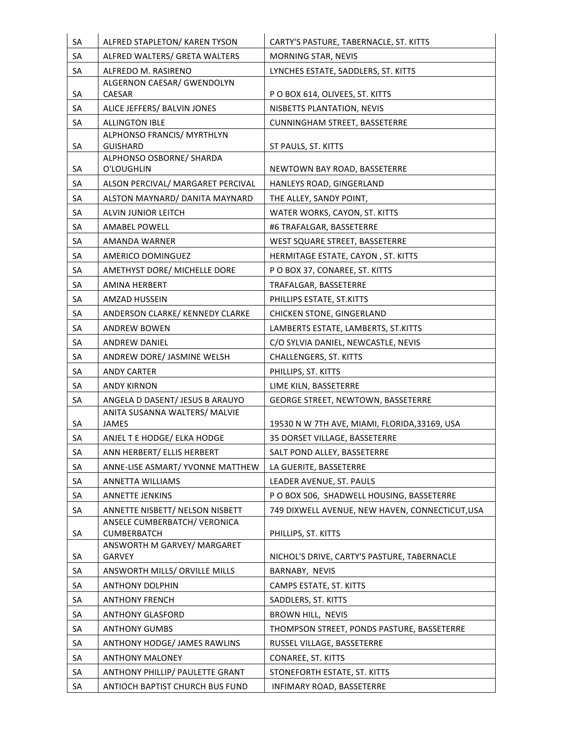| SA | ALFRED STAPLETON/ KAREN TYSON                       | CARTY'S PASTURE, TABERNACLE, ST. KITTS          |
|----|-----------------------------------------------------|-------------------------------------------------|
| SA | ALFRED WALTERS/ GRETA WALTERS                       | MORNING STAR, NEVIS                             |
| SA | ALFREDO M. RASIRENO                                 | LYNCHES ESTATE, SADDLERS, ST. KITTS             |
|    | ALGERNON CAESAR/ GWENDOLYN                          |                                                 |
| SA | CAESAR                                              | P O BOX 614, OLIVEES, ST. KITTS                 |
| SA | ALICE JEFFERS/ BALVIN JONES                         | NISBETTS PLANTATION, NEVIS                      |
| SA | <b>ALLINGTON IBLE</b><br>ALPHONSO FRANCIS/ MYRTHLYN | <b>CUNNINGHAM STREET, BASSETERRE</b>            |
| SA | <b>GUISHARD</b>                                     | ST PAULS, ST. KITTS                             |
| SA | ALPHONSO OSBORNE/ SHARDA<br>O'LOUGHLIN              | NEWTOWN BAY ROAD, BASSETERRE                    |
| SA | ALSON PERCIVAL/ MARGARET PERCIVAL                   | HANLEYS ROAD, GINGERLAND                        |
| SA | ALSTON MAYNARD/ DANITA MAYNARD                      | THE ALLEY, SANDY POINT,                         |
| SA | ALVIN JUNIOR LEITCH                                 | WATER WORKS, CAYON, ST. KITTS                   |
| SA | AMABEL POWELL                                       | #6 TRAFALGAR, BASSETERRE                        |
| SA | AMANDA WARNER                                       | WEST SQUARE STREET, BASSETERRE                  |
| SA | <b>AMERICO DOMINGUEZ</b>                            | HERMITAGE ESTATE, CAYON, ST. KITTS              |
| SA | AMETHYST DORE/ MICHELLE DORE                        | P O BOX 37, CONAREE, ST. KITTS                  |
| SA | AMINA HERBERT                                       | TRAFALGAR, BASSETERRE                           |
| SA | AMZAD HUSSEIN                                       | PHILLIPS ESTATE, ST.KITTS                       |
| SA | ANDERSON CLARKE/ KENNEDY CLARKE                     | <b>CHICKEN STONE, GINGERLAND</b>                |
| SA | <b>ANDREW BOWEN</b>                                 | LAMBERTS ESTATE, LAMBERTS, ST.KITTS             |
| SA | ANDREW DANIEL                                       | C/O SYLVIA DANIEL, NEWCASTLE, NEVIS             |
| SA | ANDREW DORE/ JASMINE WELSH                          | <b>CHALLENGERS, ST. KITTS</b>                   |
| SA | <b>ANDY CARTER</b>                                  | PHILLIPS, ST. KITTS                             |
| SA | <b>ANDY KIRNON</b>                                  | LIME KILN, BASSETERRE                           |
| SA | ANGELA D DASENT/ JESUS B ARAUYO                     | GEORGE STREET, NEWTOWN, BASSETERRE              |
| SA | ANITA SUSANNA WALTERS/ MALVIE<br><b>JAMES</b>       | 19530 N W 7TH AVE, MIAMI, FLORIDA, 33169, USA   |
| SА | ANJEL T E HODGE/ ELKA HODGE                         | 35 DORSET VILLAGE, BASSETERRE                   |
| SA | ANN HERBERT/ ELLIS HERBERT                          | SALT POND ALLEY, BASSETERRE                     |
| SA | ANNE-LISE ASMART/ YVONNE MATTHEW                    | LA GUERITE, BASSETERRE                          |
| SA | ANNETTA WILLIAMS                                    | LEADER AVENUE, ST. PAULS                        |
| SA | <b>ANNETTE JENKINS</b>                              | P O BOX 506, SHADWELL HOUSING, BASSETERRE       |
| SA | ANNETTE NISBETT/ NELSON NISBETT                     | 749 DIXWELL AVENUE, NEW HAVEN, CONNECTICUT, USA |
|    | ANSELE CUMBERBATCH/ VERONICA                        |                                                 |
| SA | CUMBERBATCH<br>ANSWORTH M GARVEY/ MARGARET          | PHILLIPS, ST. KITTS                             |
| SA | GARVEY                                              | NICHOL'S DRIVE, CARTY'S PASTURE, TABERNACLE     |
| SA | ANSWORTH MILLS/ ORVILLE MILLS                       | BARNABY, NEVIS                                  |
| SA | <b>ANTHONY DOLPHIN</b>                              | CAMPS ESTATE, ST. KITTS                         |
| SA | <b>ANTHONY FRENCH</b>                               | SADDLERS, ST. KITTS                             |
| SA | <b>ANTHONY GLASFORD</b>                             | BROWN HILL, NEVIS                               |
| SA | <b>ANTHONY GUMBS</b>                                | THOMPSON STREET, PONDS PASTURE, BASSETERRE      |
| SA | ANTHONY HODGE/ JAMES RAWLINS                        | RUSSEL VILLAGE, BASSETERRE                      |
| SA | <b>ANTHONY MALONEY</b>                              | CONAREE, ST. KITTS                              |
| SA | ANTHONY PHILLIP/ PAULETTE GRANT                     | STONEFORTH ESTATE, ST. KITTS                    |
| SA | ANTIOCH BAPTIST CHURCH BUS FUND                     | INFIMARY ROAD, BASSETERRE                       |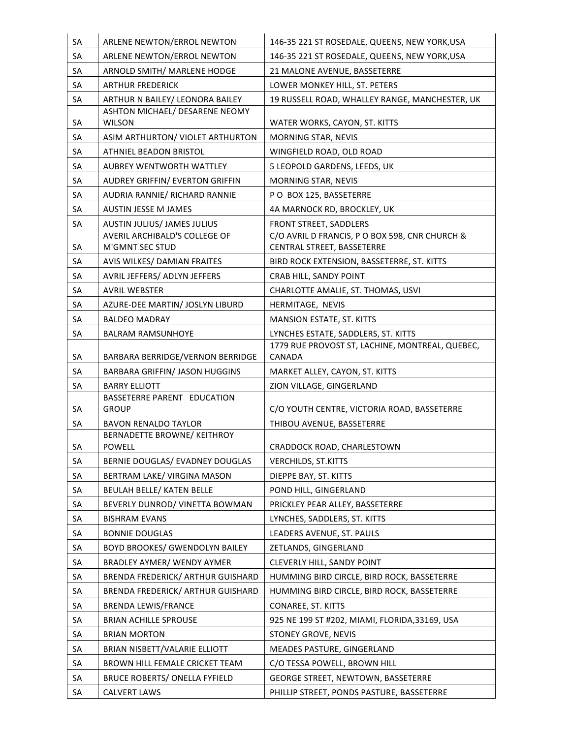| SA | ARLENE NEWTON/ERROL NEWTON                      | 146-35 221 ST ROSEDALE, QUEENS, NEW YORK, USA                    |
|----|-------------------------------------------------|------------------------------------------------------------------|
| SA | ARLENE NEWTON/ERROL NEWTON                      | 146-35 221 ST ROSEDALE, QUEENS, NEW YORK, USA                    |
| SA | ARNOLD SMITH/ MARLENE HODGE                     | 21 MALONE AVENUE, BASSETERRE                                     |
| SA | <b>ARTHUR FREDERICK</b>                         | LOWER MONKEY HILL, ST. PETERS                                    |
| SA | ARTHUR N BAILEY/ LEONORA BAILEY                 | 19 RUSSELL ROAD, WHALLEY RANGE, MANCHESTER, UK                   |
| SA | ASHTON MICHAEL/ DESARENE NEOMY<br><b>WILSON</b> | WATER WORKS, CAYON, ST. KITTS                                    |
| SA | ASIM ARTHURTON/ VIOLET ARTHURTON                | MORNING STAR, NEVIS                                              |
| SA | <b>ATHNIEL BEADON BRISTOL</b>                   | WINGFIELD ROAD, OLD ROAD                                         |
| SA | <b>AUBREY WENTWORTH WATTLEY</b>                 | 5 LEOPOLD GARDENS, LEEDS, UK                                     |
| SA | AUDREY GRIFFIN/ EVERTON GRIFFIN                 | MORNING STAR, NEVIS                                              |
| SA | AUDRIA RANNIE/ RICHARD RANNIE                   | PO BOX 125, BASSETERRE                                           |
| SA | <b>AUSTIN JESSE M JAMES</b>                     | 4A MARNOCK RD, BROCKLEY, UK                                      |
| SA | AUSTIN JULIUS/ JAMES JULIUS                     | FRONT STREET, SADDLERS                                           |
|    | <b>AVERIL ARCHIBALD'S COLLEGE OF</b>            | C/O AVRIL D FRANCIS, P O BOX 598, CNR CHURCH &                   |
| SA | M'GMNT SEC STUD                                 | CENTRAL STREET, BASSETERRE                                       |
| SA | AVIS WILKES/ DAMIAN FRAITES                     | BIRD ROCK EXTENSION, BASSETERRE, ST. KITTS                       |
| SA | AVRIL JEFFERS/ ADLYN JEFFERS                    | CRAB HILL, SANDY POINT                                           |
| SA | <b>AVRIL WEBSTER</b>                            | CHARLOTTE AMALIE, ST. THOMAS, USVI                               |
| SA | AZURE-DEE MARTIN/ JOSLYN LIBURD                 | HERMITAGE, NEVIS                                                 |
| SA | <b>BALDEO MADRAY</b>                            | MANSION ESTATE, ST. KITTS                                        |
| SA | <b>BALRAM RAMSUNHOYE</b>                        | LYNCHES ESTATE, SADDLERS, ST. KITTS                              |
| SA | BARBARA BERRIDGE/VERNON BERRIDGE                | 1779 RUE PROVOST ST, LACHINE, MONTREAL, QUEBEC,<br><b>CANADA</b> |
| SA | <b>BARBARA GRIFFIN/ JASON HUGGINS</b>           | MARKET ALLEY, CAYON, ST. KITTS                                   |
| SA | <b>BARRY ELLIOTT</b>                            | ZION VILLAGE, GINGERLAND                                         |
| SA | BASSETERRE PARENT EDUCATION<br><b>GROUP</b>     | C/O YOUTH CENTRE, VICTORIA ROAD, BASSETERRE                      |
|    | <b>BAVON RENALDO TAYLOR</b>                     |                                                                  |
| SA | BERNADETTE BROWNE/ KEITHROY                     | THIBOU AVENUE, BASSETERRE                                        |
| SA | <b>POWELL</b>                                   | CRADDOCK ROAD, CHARLESTOWN                                       |
| SA | BERNIE DOUGLAS/ EVADNEY DOUGLAS                 | <b>VERCHILDS, ST.KITTS</b>                                       |
| SA | BERTRAM LAKE/ VIRGINA MASON                     | DIEPPE BAY, ST. KITTS                                            |
| SA | <b>BEULAH BELLE/ KATEN BELLE</b>                | POND HILL, GINGERLAND                                            |
| SA | BEVERLY DUNROD/ VINETTA BOWMAN                  | PRICKLEY PEAR ALLEY, BASSETERRE                                  |
| SA | <b>BISHRAM EVANS</b>                            | LYNCHES, SADDLERS, ST. KITTS                                     |
| SA | <b>BONNIE DOUGLAS</b>                           | LEADERS AVENUE, ST. PAULS                                        |
| SA | <b>BOYD BROOKES/ GWENDOLYN BAILEY</b>           | ZETLANDS, GINGERLAND                                             |
| SA | <b>BRADLEY AYMER/ WENDY AYMER</b>               | CLEVERLY HILL, SANDY POINT                                       |
| SA | BRENDA FREDERICK/ ARTHUR GUISHARD               | HUMMING BIRD CIRCLE, BIRD ROCK, BASSETERRE                       |
| SA | BRENDA FREDERICK/ ARTHUR GUISHARD               | HUMMING BIRD CIRCLE, BIRD ROCK, BASSETERRE                       |
| SA | <b>BRENDA LEWIS/FRANCE</b>                      | CONAREE, ST. KITTS                                               |
| SA | <b>BRIAN ACHILLE SPROUSE</b>                    | 925 NE 199 ST #202, MIAMI, FLORIDA, 33169, USA                   |
| SA | <b>BRIAN MORTON</b>                             | STONEY GROVE, NEVIS                                              |
| SA | BRIAN NISBETT/VALARIE ELLIOTT                   | MEADES PASTURE, GINGERLAND                                       |
| SA | BROWN HILL FEMALE CRICKET TEAM                  | C/O TESSA POWELL, BROWN HILL                                     |
| SA | <b>BRUCE ROBERTS/ ONELLA FYFIELD</b>            | <b>GEORGE STREET, NEWTOWN, BASSETERRE</b>                        |
| SA | <b>CALVERT LAWS</b>                             | PHILLIP STREET, PONDS PASTURE, BASSETERRE                        |
|    |                                                 |                                                                  |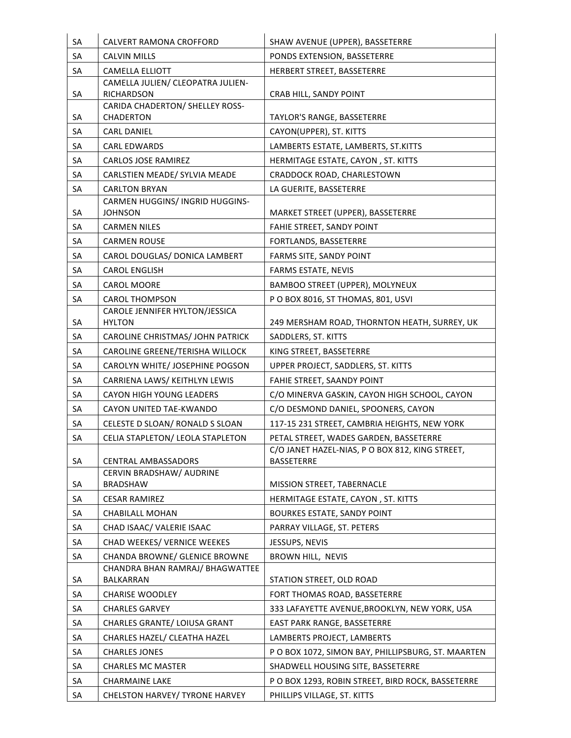| SA | CALVERT RAMONA CROFFORD                                          | SHAW AVENUE (UPPER), BASSETERRE                                      |
|----|------------------------------------------------------------------|----------------------------------------------------------------------|
| SA | <b>CALVIN MILLS</b>                                              | PONDS EXTENSION, BASSETERRE                                          |
| SA | <b>CAMELLA ELLIOTT</b>                                           | HERBERT STREET, BASSETERRE                                           |
| SA | CAMELLA JULIEN/ CLEOPATRA JULIEN-<br><b>RICHARDSON</b>           | CRAB HILL, SANDY POINT                                               |
| SA | CARIDA CHADERTON/ SHELLEY ROSS-<br><b>CHADERTON</b>              | TAYLOR'S RANGE, BASSETERRE                                           |
| SA | <b>CARL DANIEL</b>                                               | CAYON(UPPER), ST. KITTS                                              |
| SA | <b>CARL EDWARDS</b>                                              | LAMBERTS ESTATE, LAMBERTS, ST.KITTS                                  |
| SA | <b>CARLOS JOSE RAMIREZ</b>                                       | HERMITAGE ESTATE, CAYON, ST. KITTS                                   |
| SA | CARLSTIEN MEADE/ SYLVIA MEADE                                    | CRADDOCK ROAD, CHARLESTOWN                                           |
| SA | <b>CARLTON BRYAN</b>                                             | LA GUERITE, BASSETERRE                                               |
|    | CARMEN HUGGINS/ INGRID HUGGINS-                                  |                                                                      |
| SA | <b>JOHNSON</b>                                                   | MARKET STREET (UPPER), BASSETERRE                                    |
| SA | <b>CARMEN NILES</b>                                              | FAHIE STREET, SANDY POINT                                            |
| SA | <b>CARMEN ROUSE</b>                                              | FORTLANDS, BASSETERRE                                                |
| SA | CAROL DOUGLAS/ DONICA LAMBERT                                    | FARMS SITE, SANDY POINT                                              |
| SA | <b>CAROL ENGLISH</b>                                             | <b>FARMS ESTATE, NEVIS</b>                                           |
| SA | <b>CAROL MOORE</b>                                               | BAMBOO STREET (UPPER), MOLYNEUX                                      |
| SA | <b>CAROL THOMPSON</b>                                            | PO BOX 8016, ST THOMAS, 801, USVI                                    |
|    | CAROLE JENNIFER HYLTON/JESSICA                                   |                                                                      |
| SA | <b>HYLTON</b>                                                    | 249 MERSHAM ROAD, THORNTON HEATH, SURREY, UK                         |
| SA | CAROLINE CHRISTMAS/ JOHN PATRICK                                 | SADDLERS, ST. KITTS                                                  |
| SA | CAROLINE GREENE/TERISHA WILLOCK                                  | KING STREET, BASSETERRE                                              |
| SA | CAROLYN WHITE/ JOSEPHINE POGSON                                  | UPPER PROJECT, SADDLERS, ST. KITTS                                   |
| SA | CARRIENA LAWS/KEITHLYN LEWIS                                     | FAHIE STREET, SAANDY POINT                                           |
| SA | CAYON HIGH YOUNG LEADERS                                         | C/O MINERVA GASKIN, CAYON HIGH SCHOOL, CAYON                         |
| SA | CAYON UNITED TAE-KWANDO                                          | C/O DESMOND DANIEL, SPOONERS, CAYON                                  |
| SA | CELESTE D SLOAN/ RONALD S SLOAN                                  | 117-15 231 STREET, CAMBRIA HEIGHTS, NEW YORK                         |
| SA | CELIA STAPLETON/ LEOLA STAPLETON                                 | PETAL STREET. WADES GARDEN. BASSETERRE                               |
| SA | <b>CENTRAL AMBASSADORS</b>                                       | C/O JANET HAZEL-NIAS, P O BOX 812, KING STREET,<br><b>BASSETERRE</b> |
|    | CERVIN BRADSHAW/ AUDRINE                                         |                                                                      |
| SA | <b>BRADSHAW</b>                                                  | MISSION STREET, TABERNACLE                                           |
| SA | <b>CESAR RAMIREZ</b>                                             | HERMITAGE ESTATE, CAYON, ST. KITTS                                   |
| SA | <b>CHABILALL MOHAN</b>                                           | <b>BOURKES ESTATE, SANDY POINT</b>                                   |
| SA | CHAD ISAAC/ VALERIE ISAAC                                        | PARRAY VILLAGE, ST. PETERS                                           |
| SA | CHAD WEEKES/ VERNICE WEEKES                                      | JESSUPS, NEVIS                                                       |
| SA | CHANDA BROWNE/ GLENICE BROWNE<br>CHANDRA BHAN RAMRAJ/ BHAGWATTEE | BROWN HILL, NEVIS                                                    |
| SA | BALKARRAN                                                        | STATION STREET, OLD ROAD                                             |
| SA | <b>CHARISE WOODLEY</b>                                           | FORT THOMAS ROAD, BASSETERRE                                         |
| SA | <b>CHARLES GARVEY</b>                                            | 333 LAFAYETTE AVENUE, BROOKLYN, NEW YORK, USA                        |
| SA | <b>CHARLES GRANTE/ LOIUSA GRANT</b>                              | EAST PARK RANGE, BASSETERRE                                          |
| SA | CHARLES HAZEL/ CLEATHA HAZEL                                     | LAMBERTS PROJECT, LAMBERTS                                           |
| SA | <b>CHARLES JONES</b>                                             | P O BOX 1072, SIMON BAY, PHILLIPSBURG, ST. MAARTEN                   |
| SA | <b>CHARLES MC MASTER</b>                                         | SHADWELL HOUSING SITE, BASSETERRE                                    |
| SA | <b>CHARMAINE LAKE</b>                                            | P O BOX 1293, ROBIN STREET, BIRD ROCK, BASSETERRE                    |
| SA | CHELSTON HARVEY/ TYRONE HARVEY                                   |                                                                      |
|    |                                                                  | PHILLIPS VILLAGE, ST. KITTS                                          |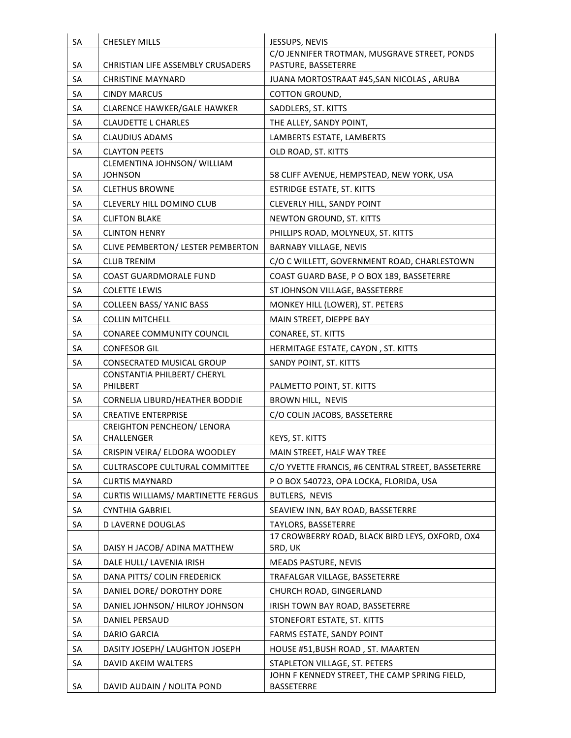| SA | <b>CHESLEY MILLS</b>                            | JESSUPS, NEVIS                                                                 |
|----|-------------------------------------------------|--------------------------------------------------------------------------------|
|    |                                                 | C/O JENNIFER TROTMAN, MUSGRAVE STREET, PONDS                                   |
| SA | <b>CHRISTIAN LIFE ASSEMBLY CRUSADERS</b>        | PASTURE, BASSETERRE                                                            |
| SA | <b>CHRISTINE MAYNARD</b>                        | JUANA MORTOSTRAAT #45, SAN NICOLAS, ARUBA                                      |
| SA | <b>CINDY MARCUS</b>                             | COTTON GROUND,                                                                 |
| SA | <b>CLARENCE HAWKER/GALE HAWKER</b>              | SADDLERS, ST. KITTS                                                            |
| SA | <b>CLAUDETTE L CHARLES</b>                      | THE ALLEY, SANDY POINT,                                                        |
| SA | <b>CLAUDIUS ADAMS</b>                           | LAMBERTS ESTATE, LAMBERTS                                                      |
| SA | <b>CLAYTON PEETS</b>                            | OLD ROAD, ST. KITTS                                                            |
| SA | CLEMENTINA JOHNSON/ WILLIAM<br>JOHNSON          |                                                                                |
| SA | <b>CLETHUS BROWNE</b>                           | 58 CLIFF AVENUE, HEMPSTEAD, NEW YORK, USA<br><b>ESTRIDGE ESTATE, ST. KITTS</b> |
| SA | <b>CLEVERLY HILL DOMINO CLUB</b>                | CLEVERLY HILL, SANDY POINT                                                     |
|    |                                                 |                                                                                |
| SA | <b>CLIFTON BLAKE</b>                            | NEWTON GROUND, ST. KITTS                                                       |
| SA | <b>CLINTON HENRY</b>                            | PHILLIPS ROAD, MOLYNEUX, ST. KITTS                                             |
| SA | CLIVE PEMBERTON/ LESTER PEMBERTON               | <b>BARNABY VILLAGE, NEVIS</b>                                                  |
| SA | <b>CLUB TRENIM</b>                              | C/O C WILLETT, GOVERNMENT ROAD, CHARLESTOWN                                    |
| SA | <b>COAST GUARDMORALE FUND</b>                   | COAST GUARD BASE, P O BOX 189, BASSETERRE                                      |
| SA | <b>COLETTE LEWIS</b>                            | ST JOHNSON VILLAGE, BASSETERRE                                                 |
| SA | <b>COLLEEN BASS/ YANIC BASS</b>                 | MONKEY HILL (LOWER), ST. PETERS                                                |
| SA | <b>COLLIN MITCHELL</b>                          | MAIN STREET, DIEPPE BAY                                                        |
| SA | CONAREE COMMUNITY COUNCIL                       | CONAREE, ST. KITTS                                                             |
| SA | <b>CONFESOR GIL</b>                             | HERMITAGE ESTATE, CAYON, ST. KITTS                                             |
| SA | <b>CONSECRATED MUSICAL GROUP</b>                | SANDY POINT, ST. KITTS                                                         |
|    | CONSTANTIA PHILBERT/ CHERYL                     |                                                                                |
| SA | PHILBERT                                        | PALMETTO POINT, ST. KITTS                                                      |
| SA | CORNELIA LIBURD/HEATHER BODDIE                  | BROWN HILL, NEVIS                                                              |
| SA | <b>CREATIVE ENTERPRISE</b>                      | C/O COLIN JACOBS, BASSETERRE                                                   |
| SA | <b>CREIGHTON PENCHEON/ LENORA</b><br>CHALLENGER | KEYS, ST. KITTS                                                                |
| SA | CRISPIN VEIRA/ ELDORA WOODLEY                   | MAIN STREET, HALF WAY TREE                                                     |
| SA | CULTRASCOPE CULTURAL COMMITTEE                  | C/O YVETTE FRANCIS, #6 CENTRAL STREET, BASSETERRE                              |
| SA | <b>CURTIS MAYNARD</b>                           | P O BOX 540723, OPA LOCKA, FLORIDA, USA                                        |
| SA | <b>CURTIS WILLIAMS/ MARTINETTE FERGUS</b>       | BUTLERS, NEVIS                                                                 |
| SA | <b>CYNTHIA GABRIEL</b>                          | SEAVIEW INN, BAY ROAD, BASSETERRE                                              |
| SA | <b>D LAVERNE DOUGLAS</b>                        | TAYLORS, BASSETERRE                                                            |
|    |                                                 | 17 CROWBERRY ROAD, BLACK BIRD LEYS, OXFORD, OX4                                |
| SA | DAISY H JACOB/ ADINA MATTHEW                    | 5RD, UK                                                                        |
| SA | DALE HULL/ LAVENIA IRISH                        | <b>MEADS PASTURE, NEVIS</b>                                                    |
| SA | DANA PITTS/ COLIN FREDERICK                     | TRAFALGAR VILLAGE, BASSETERRE                                                  |
| SA | DANIEL DORE/ DOROTHY DORE                       | CHURCH ROAD, GINGERLAND                                                        |
| SA | DANIEL JOHNSON/ HILROY JOHNSON                  | IRISH TOWN BAY ROAD, BASSETERRE                                                |
| SA | DANIEL PERSAUD                                  | STONEFORT ESTATE, ST. KITTS                                                    |
| SA | <b>DARIO GARCIA</b>                             | FARMS ESTATE, SANDY POINT                                                      |
| SA | DASITY JOSEPH/ LAUGHTON JOSEPH                  | HOUSE #51, BUSH ROAD, ST. MAARTEN                                              |
| SA | DAVID AKEIM WALTERS                             | STAPLETON VILLAGE, ST. PETERS                                                  |
|    |                                                 | JOHN F KENNEDY STREET, THE CAMP SPRING FIELD,                                  |
| SA | DAVID AUDAIN / NOLITA POND                      | BASSETERRE                                                                     |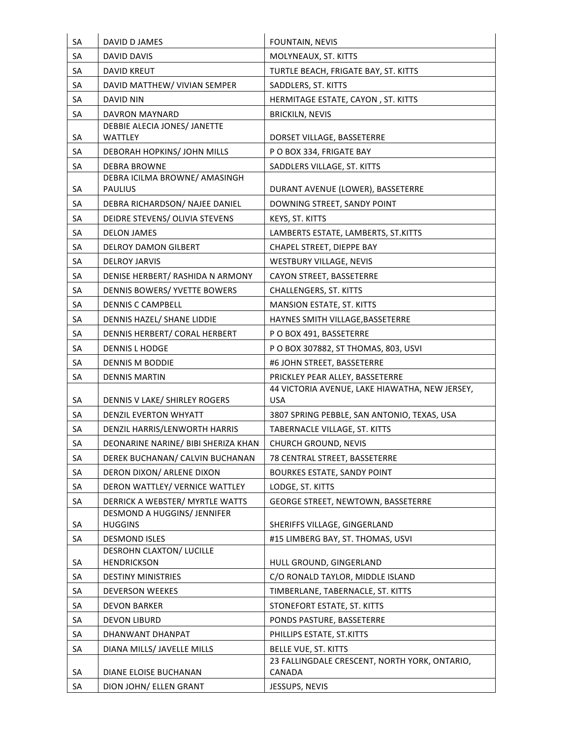| SA | DAVID D JAMES                                   | FOUNTAIN, NEVIS                                              |
|----|-------------------------------------------------|--------------------------------------------------------------|
| SA | DAVID DAVIS                                     | MOLYNEAUX, ST. KITTS                                         |
| SA | <b>DAVID KREUT</b>                              | TURTLE BEACH, FRIGATE BAY, ST. KITTS                         |
| SA | DAVID MATTHEW/ VIVIAN SEMPER                    | SADDLERS, ST. KITTS                                          |
| SA | <b>DAVID NIN</b>                                | HERMITAGE ESTATE, CAYON, ST. KITTS                           |
| SA | DAVRON MAYNARD                                  | <b>BRICKILN, NEVIS</b>                                       |
|    | DEBBIE ALECIA JONES/ JANETTE                    |                                                              |
| SA | <b>WATTLEY</b>                                  | DORSET VILLAGE, BASSETERRE                                   |
| SA | DEBORAH HOPKINS/ JOHN MILLS                     | P O BOX 334, FRIGATE BAY                                     |
| SA | <b>DEBRA BROWNE</b>                             | SADDLERS VILLAGE, ST. KITTS                                  |
| SA | DEBRA ICILMA BROWNE/ AMASINGH<br><b>PAULIUS</b> | DURANT AVENUE (LOWER), BASSETERRE                            |
| SA |                                                 |                                                              |
|    | DEBRA RICHARDSON/ NAJEE DANIEL                  | DOWNING STREET, SANDY POINT                                  |
| SA | DEIDRE STEVENS/ OLIVIA STEVENS                  | KEYS, ST. KITTS                                              |
| SA | <b>DELON JAMES</b>                              | LAMBERTS ESTATE, LAMBERTS, ST.KITTS                          |
| SA | <b>DELROY DAMON GILBERT</b>                     | CHAPEL STREET, DIEPPE BAY                                    |
| SA | <b>DELROY JARVIS</b>                            | WESTBURY VILLAGE, NEVIS                                      |
| SA | DENISE HERBERT/ RASHIDA N ARMONY                | CAYON STREET, BASSETERRE                                     |
| SA | DENNIS BOWERS/ YVETTE BOWERS                    | <b>CHALLENGERS, ST. KITTS</b>                                |
| SA | <b>DENNIS C CAMPBELL</b>                        | <b>MANSION ESTATE, ST. KITTS</b>                             |
| SA | DENNIS HAZEL/ SHANE LIDDIE                      | HAYNES SMITH VILLAGE, BASSETERRE                             |
| SA | DENNIS HERBERT/ CORAL HERBERT                   | PO BOX 491, BASSETERRE                                       |
| SA | <b>DENNIS L HODGE</b>                           | PO BOX 307882, ST THOMAS, 803, USVI                          |
| SA | DENNIS M BODDIE                                 | #6 JOHN STREET, BASSETERRE                                   |
| SA | <b>DENNIS MARTIN</b>                            | PRICKLEY PEAR ALLEY, BASSETERRE                              |
| SA | DENNIS V LAKE/ SHIRLEY ROGERS                   | 44 VICTORIA AVENUE, LAKE HIAWATHA, NEW JERSEY,<br><b>USA</b> |
| SA | DENZIL EVERTON WHYATT                           | 3807 SPRING PEBBLE, SAN ANTONIO, TEXAS, USA                  |
| SA | DENZIL HARRIS/LENWORTH HARRIS                   | TABERNACLE VILLAGE, ST. KITTS                                |
| SA | DEONARINE NARINE/ BIBI SHERIZA KHAN             | <b>CHURCH GROUND, NEVIS</b>                                  |
| SA | DEREK BUCHANAN/ CALVIN BUCHANAN                 | 78 CENTRAL STREET, BASSETERRE                                |
| SA | DERON DIXON/ ARLENE DIXON                       | <b>BOURKES ESTATE, SANDY POINT</b>                           |
| SA | DERON WATTLEY/ VERNICE WATTLEY                  | LODGE, ST. KITTS                                             |
| SA | DERRICK A WEBSTER/ MYRTLE WATTS                 | GEORGE STREET, NEWTOWN, BASSETERRE                           |
|    | DESMOND A HUGGINS/ JENNIFER                     |                                                              |
| SA | <b>HUGGINS</b>                                  | SHERIFFS VILLAGE, GINGERLAND                                 |
| SA | <b>DESMOND ISLES</b>                            | #15 LIMBERG BAY, ST. THOMAS, USVI                            |
|    | DESROHN CLAXTON/ LUCILLE                        |                                                              |
| SA | <b>HENDRICKSON</b>                              | HULL GROUND, GINGERLAND                                      |
| SA | <b>DESTINY MINISTRIES</b>                       | C/O RONALD TAYLOR, MIDDLE ISLAND                             |
| SA | DEVERSON WEEKES                                 | TIMBERLANE, TABERNACLE, ST. KITTS                            |
| SA | <b>DEVON BARKER</b>                             | STONEFORT ESTATE, ST. KITTS                                  |
| SA | <b>DEVON LIBURD</b>                             | PONDS PASTURE, BASSETERRE                                    |
| SA | DHANWANT DHANPAT                                | PHILLIPS ESTATE, ST.KITTS                                    |
| SA | DIANA MILLS/ JAVELLE MILLS                      | BELLE VUE, ST. KITTS                                         |
| SA | DIANE ELOISE BUCHANAN                           | 23 FALLINGDALE CRESCENT, NORTH YORK, ONTARIO,<br>CANADA      |
| SA | DION JOHN/ ELLEN GRANT                          | JESSUPS, NEVIS                                               |
|    |                                                 |                                                              |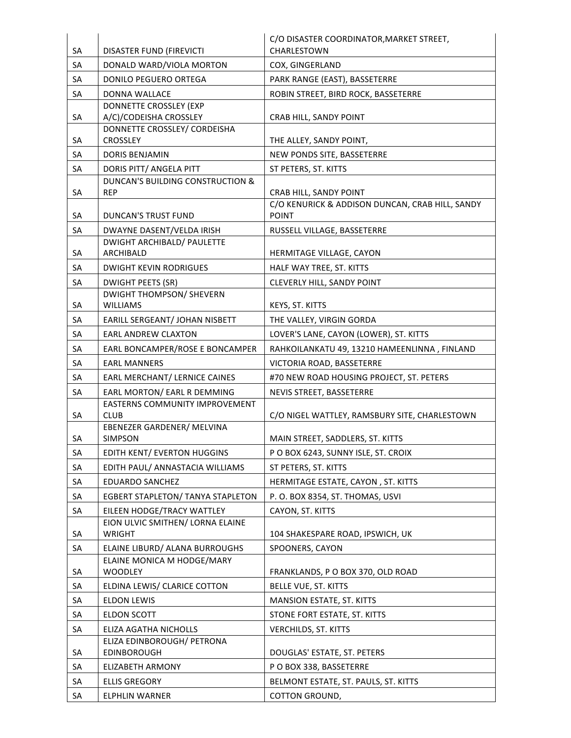|    |                                                              | C/O DISASTER COORDINATOR, MARKET STREET,        |
|----|--------------------------------------------------------------|-------------------------------------------------|
| SA | DISASTER FUND (FIREVICTI                                     | CHARLESTOWN                                     |
| SA | DONALD WARD/VIOLA MORTON                                     | COX, GINGERLAND                                 |
| SA | DONILO PEGUERO ORTEGA                                        | PARK RANGE (EAST), BASSETERRE                   |
| SA | DONNA WALLACE                                                | ROBIN STREET, BIRD ROCK, BASSETERRE             |
|    | DONNETTE CROSSLEY (EXP                                       |                                                 |
| SA | A/C)/CODEISHA CROSSLEY                                       | CRAB HILL, SANDY POINT                          |
| SA | DONNETTE CROSSLEY/ CORDEISHA<br><b>CROSSLEY</b>              | THE ALLEY, SANDY POINT,                         |
| SA | <b>DORIS BENJAMIN</b>                                        | NEW PONDS SITE, BASSETERRE                      |
| SA | DORIS PITT/ ANGELA PITT                                      | ST PETERS, ST. KITTS                            |
|    | DUNCAN'S BUILDING CONSTRUCTION &                             |                                                 |
| SA | <b>REP</b>                                                   | CRAB HILL, SANDY POINT                          |
|    |                                                              | C/O KENURICK & ADDISON DUNCAN, CRAB HILL, SANDY |
| SA | <b>DUNCAN'S TRUST FUND</b>                                   | <b>POINT</b>                                    |
| SA | DWAYNE DASENT/VELDA IRISH                                    | RUSSELL VILLAGE, BASSETERRE                     |
| SA | <b>DWIGHT ARCHIBALD/ PAULETTE</b><br>ARCHIBALD               | HERMITAGE VILLAGE, CAYON                        |
|    |                                                              |                                                 |
| SA | <b>DWIGHT KEVIN RODRIGUES</b>                                | HALF WAY TREE, ST. KITTS                        |
| SA | <b>DWIGHT PEETS (SR)</b><br><b>DWIGHT THOMPSON/ SHEVERN</b>  | CLEVERLY HILL, SANDY POINT                      |
| SA | <b>WILLIAMS</b>                                              | KEYS, ST. KITTS                                 |
| SA | EARILL SERGEANT/ JOHAN NISBETT                               | THE VALLEY, VIRGIN GORDA                        |
| SA | <b>EARL ANDREW CLAXTON</b>                                   | LOVER'S LANE, CAYON (LOWER), ST. KITTS          |
| SA | EARL BONCAMPER/ROSE E BONCAMPER                              | RAHKOILANKATU 49, 13210 HAMEENLINNA, FINLAND    |
| SA | <b>EARL MANNERS</b>                                          | VICTORIA ROAD, BASSETERRE                       |
| SA | EARL MERCHANT/ LERNICE CAINES                                | #70 NEW ROAD HOUSING PROJECT, ST. PETERS        |
| SA | EARL MORTON/ EARL R DEMMING                                  | NEVIS STREET, BASSETERRE                        |
|    | <b>EASTERNS COMMUNITY IMPROVEMENT</b>                        |                                                 |
| SA | <b>CLUB</b>                                                  | C/O NIGEL WATTLEY, RAMSBURY SITE, CHARLESTOWN   |
|    | EBENEZER GARDENER/ MELVINA                                   |                                                 |
| SA | <b>SIMPSON</b>                                               | MAIN STREET, SADDLERS, ST. KITTS                |
| SA | EDITH KENT/ EVERTON HUGGINS                                  | PO BOX 6243, SUNNY ISLE, ST. CROIX              |
| SA | EDITH PAUL/ ANNASTACIA WILLIAMS                              | ST PETERS, ST. KITTS                            |
| SA | <b>EDUARDO SANCHEZ</b>                                       | HERMITAGE ESTATE, CAYON, ST. KITTS              |
| SA | EGBERT STAPLETON/ TANYA STAPLETON                            | P.O. BOX 8354, ST. THOMAS, USVI                 |
| SA | EILEEN HODGE/TRACY WATTLEY                                   | CAYON, ST. KITTS                                |
|    | EION ULVIC SMITHEN/ LORNA ELAINE                             |                                                 |
| SA | <b>WRIGHT</b>                                                | 104 SHAKESPARE ROAD, IPSWICH, UK                |
| SA | ELAINE LIBURD/ ALANA BURROUGHS<br>ELAINE MONICA M HODGE/MARY | SPOONERS, CAYON                                 |
| SA | <b>WOODLEY</b>                                               | FRANKLANDS, P O BOX 370, OLD ROAD               |
| SA | ELDINA LEWIS/ CLARICE COTTON                                 | BELLE VUE, ST. KITTS                            |
| SA | <b>ELDON LEWIS</b>                                           | <b>MANSION ESTATE, ST. KITTS</b>                |
| SA | <b>ELDON SCOTT</b>                                           | STONE FORT ESTATE, ST. KITTS                    |
| SA | ELIZA AGATHA NICHOLLS                                        | <b>VERCHILDS, ST. KITTS</b>                     |
|    | ELIZA EDINBOROUGH/ PETRONA                                   |                                                 |
| SA | <b>EDINBOROUGH</b>                                           | DOUGLAS' ESTATE, ST. PETERS                     |
| SA | <b>ELIZABETH ARMONY</b>                                      | P O BOX 338, BASSETERRE                         |
| SA | <b>ELLIS GREGORY</b>                                         | BELMONT ESTATE, ST. PAULS, ST. KITTS            |
| SA | ELPHLIN WARNER                                               | COTTON GROUND,                                  |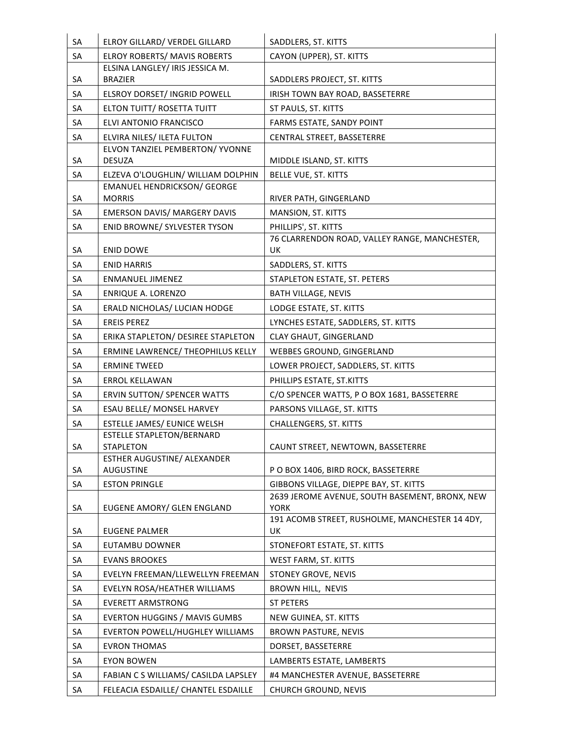| SA | ELROY GILLARD/ VERDEL GILLARD                                 | SADDLERS, ST. KITTS                                           |
|----|---------------------------------------------------------------|---------------------------------------------------------------|
| SA | <b>ELROY ROBERTS/ MAVIS ROBERTS</b>                           | CAYON (UPPER), ST. KITTS                                      |
|    | ELSINA LANGLEY/ IRIS JESSICA M.                               |                                                               |
| SA | <b>BRAZIER</b>                                                | SADDLERS PROJECT, ST. KITTS                                   |
| SA | ELSROY DORSET/ INGRID POWELL                                  | IRISH TOWN BAY ROAD, BASSETERRE                               |
| SA | ELTON TUITT/ ROSETTA TUITT                                    | ST PAULS, ST. KITTS                                           |
| SA | ELVI ANTONIO FRANCISCO                                        | FARMS ESTATE, SANDY POINT                                     |
| SA | ELVIRA NILES/ ILETA FULTON<br>ELVON TANZIEL PEMBERTON/ YVONNE | CENTRAL STREET, BASSETERRE                                    |
| SA | <b>DESUZA</b>                                                 | MIDDLE ISLAND, ST. KITTS                                      |
| SA | ELZEVA O'LOUGHLIN/ WILLIAM DOLPHIN                            | BELLE VUE, ST. KITTS                                          |
|    | <b>EMANUEL HENDRICKSON/ GEORGE</b>                            |                                                               |
| SA | <b>MORRIS</b>                                                 | RIVER PATH, GINGERLAND                                        |
| SA | <b>EMERSON DAVIS/ MARGERY DAVIS</b>                           | MANSION, ST. KITTS                                            |
| SA | ENID BROWNE/ SYLVESTER TYSON                                  | PHILLIPS', ST. KITTS                                          |
| SA | <b>ENID DOWE</b>                                              | 76 CLARRENDON ROAD, VALLEY RANGE, MANCHESTER,<br>UK           |
| SA | <b>ENID HARRIS</b>                                            | SADDLERS, ST. KITTS                                           |
| SA | <b>ENMANUEL JIMENEZ</b>                                       | STAPLETON ESTATE, ST. PETERS                                  |
| SA | <b>ENRIQUE A. LORENZO</b>                                     | <b>BATH VILLAGE, NEVIS</b>                                    |
| SA | ERALD NICHOLAS/ LUCIAN HODGE                                  | LODGE ESTATE, ST. KITTS                                       |
| SA | <b>EREIS PEREZ</b>                                            | LYNCHES ESTATE, SADDLERS, ST. KITTS                           |
| SA | ERIKA STAPLETON/ DESIREE STAPLETON                            | CLAY GHAUT, GINGERLAND                                        |
| SA | ERMINE LAWRENCE/ THEOPHILUS KELLY                             | WEBBES GROUND, GINGERLAND                                     |
| SA | <b>ERMINE TWEED</b>                                           | LOWER PROJECT, SADDLERS, ST. KITTS                            |
| SA | ERROL KELLAWAN                                                | PHILLIPS ESTATE, ST.KITTS                                     |
| SA | <b>ERVIN SUTTON/ SPENCER WATTS</b>                            | C/O SPENCER WATTS, P O BOX 1681, BASSETERRE                   |
| SA | ESAU BELLE/ MONSEL HARVEY                                     | PARSONS VILLAGE, ST. KITTS                                    |
| SA | ESTELLE JAMES/ EUNICE WELSH                                   | <b>CHALLENGERS, ST. KITTS</b>                                 |
| SA | <b>ESTELLE STAPLETON/BERNARD</b><br>STAPLETON                 | CAUNT STREET, NEWTOWN, BASSETERRE                             |
|    | <b>ESTHER AUGUSTINE/ ALEXANDER</b>                            |                                                               |
| SA | <b>AUGUSTINE</b>                                              | P O BOX 1406, BIRD ROCK, BASSETERRE                           |
| SA | <b>ESTON PRINGLE</b>                                          | GIBBONS VILLAGE, DIEPPE BAY, ST. KITTS                        |
| SA | EUGENE AMORY/ GLEN ENGLAND                                    | 2639 JEROME AVENUE, SOUTH BASEMENT, BRONX, NEW<br><b>YORK</b> |
|    |                                                               | 191 ACOMB STREET, RUSHOLME, MANCHESTER 14 4DY,                |
| SA | <b>EUGENE PALMER</b>                                          | UK                                                            |
| SA | EUTAMBU DOWNER                                                | STONEFORT ESTATE, ST. KITTS                                   |
| SA | <b>EVANS BROOKES</b>                                          | WEST FARM, ST. KITTS                                          |
| SA | EVELYN FREEMAN/LLEWELLYN FREEMAN                              | STONEY GROVE, NEVIS                                           |
| SA | EVELYN ROSA/HEATHER WILLIAMS                                  | BROWN HILL, NEVIS                                             |
| SA | <b>EVERETT ARMSTRONG</b>                                      | <b>ST PETERS</b>                                              |
| SA | <b>EVERTON HUGGINS / MAVIS GUMBS</b>                          | NEW GUINEA, ST. KITTS                                         |
| SA | <b>EVERTON POWELL/HUGHLEY WILLIAMS</b>                        | <b>BROWN PASTURE, NEVIS</b>                                   |
| SA | <b>EVRON THOMAS</b>                                           | DORSET, BASSETERRE                                            |
| SA | <b>EYON BOWEN</b>                                             | LAMBERTS ESTATE, LAMBERTS                                     |
| SA | FABIAN C S WILLIAMS/ CASILDA LAPSLEY                          | #4 MANCHESTER AVENUE, BASSETERRE                              |
| SA | FELEACIA ESDAILLE/ CHANTEL ESDAILLE                           | <b>CHURCH GROUND, NEVIS</b>                                   |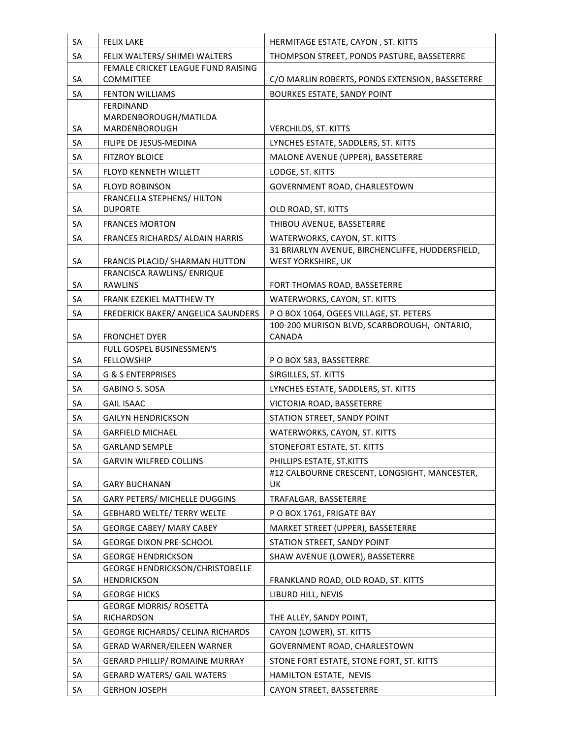| <b>SA</b> | <b>FELIX LAKE</b>                                            | HERMITAGE ESTATE, CAYON, ST. KITTS               |
|-----------|--------------------------------------------------------------|--------------------------------------------------|
| <b>SA</b> | FELIX WALTERS/ SHIMEI WALTERS                                | THOMPSON STREET, PONDS PASTURE, BASSETERRE       |
|           | FEMALE CRICKET LEAGUE FUND RAISING                           |                                                  |
| <b>SA</b> | <b>COMMITTEE</b>                                             | C/O MARLIN ROBERTS, PONDS EXTENSION, BASSETERRE  |
| SA        | <b>FENTON WILLIAMS</b>                                       | <b>BOURKES ESTATE, SANDY POINT</b>               |
|           | <b>FERDINAND</b><br>MARDENBOROUGH/MATILDA                    |                                                  |
| SA        | MARDENBOROUGH                                                | <b>VERCHILDS, ST. KITTS</b>                      |
| SA        | FILIPE DE JESUS-MEDINA                                       | LYNCHES ESTATE, SADDLERS, ST. KITTS              |
| SA        | <b>FITZROY BLOICE</b>                                        | MALONE AVENUE (UPPER), BASSETERRE                |
| <b>SA</b> | <b>FLOYD KENNETH WILLETT</b>                                 | LODGE, ST. KITTS                                 |
| SA        | <b>FLOYD ROBINSON</b>                                        | GOVERNMENT ROAD, CHARLESTOWN                     |
|           | FRANCELLA STEPHENS/ HILTON                                   |                                                  |
| SA        | <b>DUPORTE</b>                                               | OLD ROAD, ST. KITTS                              |
| SA        | <b>FRANCES MORTON</b>                                        | THIBOU AVENUE, BASSETERRE                        |
| SA        | FRANCES RICHARDS/ ALDAIN HARRIS                              | WATERWORKS, CAYON, ST. KITTS                     |
|           |                                                              | 31 BRIARLYN AVENUE, BIRCHENCLIFFE, HUDDERSFIELD, |
| SA        | FRANCIS PLACID/ SHARMAN HUTTON                               | WEST YORKSHIRE, UK                               |
| SA        | FRANCISCA RAWLINS/ ENRIQUE<br><b>RAWLINS</b>                 | FORT THOMAS ROAD, BASSETERRE                     |
| <b>SA</b> | <b>FRANK EZEKIEL MATTHEW TY</b>                              | WATERWORKS, CAYON, ST. KITTS                     |
| SA        | FREDERICK BAKER/ ANGELICA SAUNDERS                           | PO BOX 1064, OGEES VILLAGE, ST. PETERS           |
|           |                                                              | 100-200 MURISON BLVD, SCARBOROUGH, ONTARIO,      |
| SA        | <b>FRONCHET DYER</b>                                         | CANADA                                           |
|           | FULL GOSPEL BUSINESSMEN'S                                    |                                                  |
| SA        | <b>FELLOWSHIP</b>                                            | PO BOX 583, BASSETERRE                           |
| <b>SA</b> | <b>G &amp; S ENTERPRISES</b>                                 | SIRGILLES, ST. KITTS                             |
| SA        | <b>GABINO S. SOSA</b>                                        | LYNCHES ESTATE, SADDLERS, ST. KITTS              |
| <b>SA</b> | <b>GAIL ISAAC</b>                                            | VICTORIA ROAD, BASSETERRE                        |
| SA        | <b>GAILYN HENDRICKSON</b>                                    | STATION STREET, SANDY POINT                      |
| SA        | <b>GARFIELD MICHAEL</b>                                      | WATERWORKS, CAYON, ST. KITTS                     |
| SA        | <b>GARLAND SEMPLE</b>                                        | STONEFORT ESTATE, ST. KITTS                      |
| SA        | <b>GARVIN WILFRED COLLINS</b>                                | PHILLIPS ESTATE, ST.KITTS                        |
|           |                                                              | #12 CALBOURNE CRESCENT, LONGSIGHT, MANCESTER,    |
| SA        | <b>GARY BUCHANAN</b>                                         | UK                                               |
| SA        | <b>GARY PETERS/ MICHELLE DUGGINS</b>                         | TRAFALGAR, BASSETERRE                            |
| SA        | <b>GEBHARD WELTE/ TERRY WELTE</b>                            | PO BOX 1761, FRIGATE BAY                         |
| SA        | <b>GEORGE CABEY/ MARY CABEY</b>                              | MARKET STREET (UPPER), BASSETERRE                |
| SA        | <b>GEORGE DIXON PRE-SCHOOL</b>                               | STATION STREET, SANDY POINT                      |
| SA        | <b>GEORGE HENDRICKSON</b>                                    | SHAW AVENUE (LOWER), BASSETERRE                  |
| SA        | <b>GEORGE HENDRICKSON/CHRISTOBELLE</b><br><b>HENDRICKSON</b> | FRANKLAND ROAD, OLD ROAD, ST. KITTS              |
| SA        | <b>GEORGE HICKS</b>                                          | LIBURD HILL, NEVIS                               |
|           | <b>GEORGE MORRIS/ ROSETTA</b>                                |                                                  |
| SA        | RICHARDSON                                                   | THE ALLEY, SANDY POINT,                          |
| SA        | <b>GEORGE RICHARDS/ CELINA RICHARDS</b>                      | CAYON (LOWER), ST. KITTS                         |
| SA        | <b>GERAD WARNER/EILEEN WARNER</b>                            | GOVERNMENT ROAD, CHARLESTOWN                     |
| SA        | <b>GERARD PHILLIP/ ROMAINE MURRAY</b>                        | STONE FORT ESTATE, STONE FORT, ST. KITTS         |
| SA        | <b>GERARD WATERS/ GAIL WATERS</b>                            | HAMILTON ESTATE, NEVIS                           |
| SA        | <b>GERHON JOSEPH</b>                                         | CAYON STREET, BASSETERRE                         |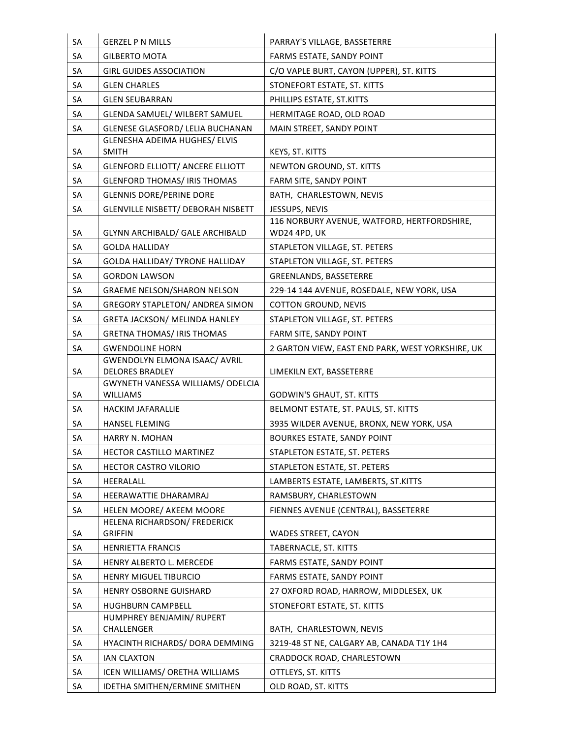| SA | <b>GERZEL P N MILLS</b>                                        | PARRAY'S VILLAGE, BASSETERRE                                |
|----|----------------------------------------------------------------|-------------------------------------------------------------|
| SA | <b>GILBERTO MOTA</b>                                           | FARMS ESTATE, SANDY POINT                                   |
| SA | <b>GIRL GUIDES ASSOCIATION</b>                                 | C/O VAPLE BURT, CAYON (UPPER), ST. KITTS                    |
| SA | <b>GLEN CHARLES</b>                                            | STONEFORT ESTATE, ST. KITTS                                 |
| SA | <b>GLEN SEUBARRAN</b>                                          | PHILLIPS ESTATE, ST.KITTS                                   |
| SA | <b>GLENDA SAMUEL/ WILBERT SAMUEL</b>                           | HERMITAGE ROAD, OLD ROAD                                    |
| SA | <b>GLENESE GLASFORD/ LELIA BUCHANAN</b>                        | MAIN STREET, SANDY POINT                                    |
|    | <b>GLENESHA ADEIMA HUGHES/ ELVIS</b>                           |                                                             |
| SA | <b>SMITH</b>                                                   | KEYS, ST. KITTS                                             |
| SA | <b>GLENFORD ELLIOTT/ ANCERE ELLIOTT</b>                        | NEWTON GROUND, ST. KITTS                                    |
| SA | <b>GLENFORD THOMAS/ IRIS THOMAS</b>                            | FARM SITE, SANDY POINT                                      |
| SA | <b>GLENNIS DORE/PERINE DORE</b>                                | BATH, CHARLESTOWN, NEVIS                                    |
| SA | <b>GLENVILLE NISBETT/ DEBORAH NISBETT</b>                      | JESSUPS, NEVIS                                              |
| SA | GLYNN ARCHIBALD/ GALE ARCHIBALD                                | 116 NORBURY AVENUE, WATFORD, HERTFORDSHIRE,<br>WD24 4PD, UK |
| SA | <b>GOLDA HALLIDAY</b>                                          | STAPLETON VILLAGE, ST. PETERS                               |
| SA | GOLDA HALLIDAY/ TYRONE HALLIDAY                                | STAPLETON VILLAGE, ST. PETERS                               |
| SA | <b>GORDON LAWSON</b>                                           | GREENLANDS, BASSETERRE                                      |
| SA | <b>GRAEME NELSON/SHARON NELSON</b>                             | 229-14 144 AVENUE, ROSEDALE, NEW YORK, USA                  |
| SA | <b>GREGORY STAPLETON/ ANDREA SIMON</b>                         | <b>COTTON GROUND, NEVIS</b>                                 |
| SA | <b>GRETA JACKSON/ MELINDA HANLEY</b>                           | STAPLETON VILLAGE, ST. PETERS                               |
| SA | <b>GRETNA THOMAS/IRIS THOMAS</b>                               | FARM SITE, SANDY POINT                                      |
| SA | <b>GWENDOLINE HORN</b>                                         | 2 GARTON VIEW, EAST END PARK, WEST YORKSHIRE, UK            |
| SA | <b>GWENDOLYN ELMONA ISAAC/ AVRIL</b><br><b>DELORES BRADLEY</b> | LIMEKILN EXT, BASSETERRE                                    |
| SA | GWYNETH VANESSA WILLIAMS/ ODELCIA<br><b>WILLIAMS</b>           | <b>GODWIN'S GHAUT, ST. KITTS</b>                            |
| SA | <b>HACKIM JAFARALLIE</b>                                       | BELMONT ESTATE, ST. PAULS, ST. KITTS                        |
| SA | <b>HANSEL FLEMING</b>                                          | 3935 WILDER AVENUE, BRONX, NEW YORK, USA                    |
| SА | HARRY N. MOHAN                                                 | <b>BOURKES ESTATE, SANDY POINT</b>                          |
| SA | HECTOR CASTILLO MARTINEZ                                       | STAPLETON ESTATE, ST. PETERS                                |
| SA | HECTOR CASTRO VILORIO                                          | STAPLETON ESTATE, ST. PETERS                                |
| SA | HEERALALL                                                      | LAMBERTS ESTATE, LAMBERTS, ST.KITTS                         |
| SA | HEERAWATTIE DHARAMRAJ                                          | RAMSBURY, CHARLESTOWN                                       |
| SA | HELEN MOORE/ AKEEM MOORE                                       | FIENNES AVENUE (CENTRAL), BASSETERRE                        |
|    | HELENA RICHARDSON/ FREDERICK                                   |                                                             |
| SA | <b>GRIFFIN</b>                                                 | <b>WADES STREET, CAYON</b>                                  |
| SA | <b>HENRIETTA FRANCIS</b>                                       | TABERNACLE, ST. KITTS                                       |
| SA | HENRY ALBERTO L. MERCEDE                                       | FARMS ESTATE, SANDY POINT                                   |
| SA | <b>HENRY MIGUEL TIBURCIO</b>                                   | FARMS ESTATE, SANDY POINT                                   |
| SA | HENRY OSBORNE GUISHARD                                         | 27 OXFORD ROAD, HARROW, MIDDLESEX, UK                       |
| SA | HUGHBURN CAMPBELL                                              | STONEFORT ESTATE, ST. KITTS                                 |
|    | HUMPHREY BENJAMIN/ RUPERT                                      |                                                             |
| SA | CHALLENGER                                                     | BATH, CHARLESTOWN, NEVIS                                    |
| SA | HYACINTH RICHARDS/ DORA DEMMING                                | 3219-48 ST NE, CALGARY AB, CANADA T1Y 1H4                   |
| SA | <b>IAN CLAXTON</b>                                             | CRADDOCK ROAD, CHARLESTOWN                                  |
| SA | ICEN WILLIAMS/ ORETHA WILLIAMS                                 | OTTLEYS, ST. KITTS                                          |
| SA | IDETHA SMITHEN/ERMINE SMITHEN                                  | OLD ROAD, ST. KITTS                                         |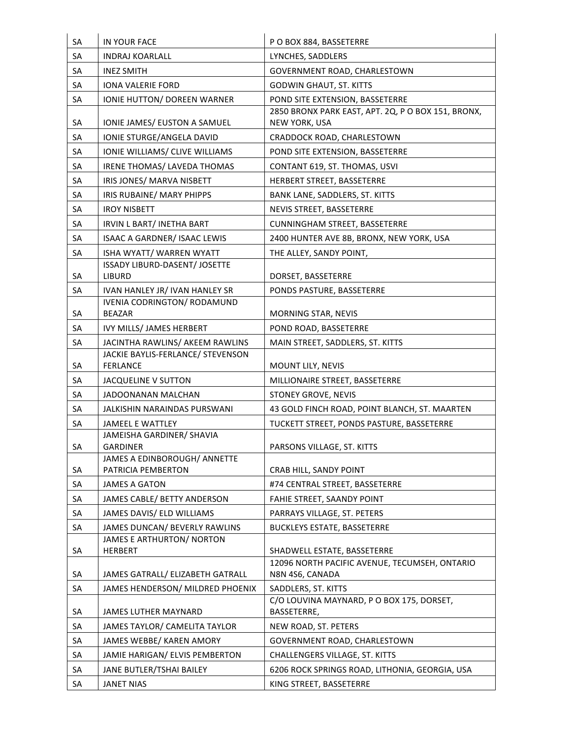| SA        | IN YOUR FACE                                         | P O BOX 884, BASSETERRE                                             |
|-----------|------------------------------------------------------|---------------------------------------------------------------------|
| SA        | <b>INDRAJ KOARLALL</b>                               | LYNCHES, SADDLERS                                                   |
| <b>SA</b> | <b>INEZ SMITH</b>                                    | GOVERNMENT ROAD, CHARLESTOWN                                        |
| SA        | <b>IONA VALERIE FORD</b>                             | <b>GODWIN GHAUT, ST. KITTS</b>                                      |
| SA        | <b>IONIE HUTTON/ DOREEN WARNER</b>                   | POND SITE EXTENSION, BASSETERRE                                     |
| SA        | IONIE JAMES/ EUSTON A SAMUEL                         | 2850 BRONX PARK EAST, APT. 2Q, P O BOX 151, BRONX,<br>NEW YORK, USA |
| SA        | IONIE STURGE/ANGELA DAVID                            | CRADDOCK ROAD, CHARLESTOWN                                          |
| SA        | IONIE WILLIAMS/ CLIVE WILLIAMS                       | POND SITE EXTENSION, BASSETERRE                                     |
| SA        | IRENE THOMAS/ LAVEDA THOMAS                          | CONTANT 619, ST. THOMAS, USVI                                       |
| SA        | IRIS JONES/ MARVA NISBETT                            | HERBERT STREET, BASSETERRE                                          |
| SA        | IRIS RUBAINE/ MARY PHIPPS                            | BANK LANE, SADDLERS, ST. KITTS                                      |
| SA        | <b>IROY NISBETT</b>                                  | NEVIS STREET, BASSETERRE                                            |
| SA        | IRVIN L BART/ INETHA BART                            | <b>CUNNINGHAM STREET, BASSETERRE</b>                                |
| SA        | ISAAC A GARDNER/ ISAAC LEWIS                         | 2400 HUNTER AVE 8B, BRONX, NEW YORK, USA                            |
| SA        | ISHA WYATT/ WARREN WYATT                             | THE ALLEY, SANDY POINT,                                             |
| SA        | ISSADY LIBURD-DASENT/ JOSETTE<br><b>LIBURD</b>       | DORSET, BASSETERRE                                                  |
| SA        | IVAN HANLEY JR/ IVAN HANLEY SR                       | PONDS PASTURE, BASSETERRE                                           |
| SA        | <b>IVENIA CODRINGTON/ RODAMUND</b><br><b>BEAZAR</b>  | MORNING STAR, NEVIS                                                 |
| SA        | IVY MILLS/ JAMES HERBERT                             | POND ROAD, BASSETERRE                                               |
| SA        | JACINTHA RAWLINS/ AKEEM RAWLINS                      | MAIN STREET, SADDLERS, ST. KITTS                                    |
| SA        | JACKIE BAYLIS-FERLANCE/ STEVENSON<br><b>FERLANCE</b> | MOUNT LILY, NEVIS                                                   |
| SA        | JACQUELINE V SUTTON                                  | MILLIONAIRE STREET, BASSETERRE                                      |
| SA        | JADOONANAN MALCHAN                                   | STONEY GROVE, NEVIS                                                 |
| SA        | JALKISHIN NARAINDAS PURSWANI                         | 43 GOLD FINCH ROAD, POINT BLANCH, ST. MAARTEN                       |
| SA        | <b>JAMEEL E WATTLEY</b>                              | TUCKETT STREET, PONDS PASTURE, BASSETERRE                           |
| SA        | JAMEISHA GARDINER/ SHAVIA<br><b>GARDINER</b>         | PARSONS VILLAGE, ST. KITTS                                          |
| SA        | JAMES A EDINBOROUGH/ ANNETTE<br>PATRICIA PEMBERTON   | CRAB HILL, SANDY POINT                                              |
| SA        | <b>JAMES A GATON</b>                                 | #74 CENTRAL STREET, BASSETERRE                                      |
| SA        | JAMES CABLE/ BETTY ANDERSON                          | FAHIE STREET, SAANDY POINT                                          |
| SA        | JAMES DAVIS/ ELD WILLIAMS                            | PARRAYS VILLAGE, ST. PETERS                                         |
| SA        | JAMES DUNCAN/ BEVERLY RAWLINS                        | <b>BUCKLEYS ESTATE, BASSETERRE</b>                                  |
| SA        | JAMES E ARTHURTON/ NORTON<br><b>HERBERT</b>          | SHADWELL ESTATE, BASSETERRE                                         |
| SA        | JAMES GATRALL/ ELIZABETH GATRALL                     | 12096 NORTH PACIFIC AVENUE, TECUMSEH, ONTARIO<br>N8N 4S6, CANADA    |
| SA        | JAMES HENDERSON/ MILDRED PHOENIX                     | SADDLERS, ST. KITTS                                                 |
| SA        | <b>JAMES LUTHER MAYNARD</b>                          | C/O LOUVINA MAYNARD, P O BOX 175, DORSET,<br>BASSETERRE,            |
| SA        | JAMES TAYLOR/ CAMELITA TAYLOR                        | NEW ROAD, ST. PETERS                                                |
| SA        | JAMES WEBBE/ KAREN AMORY                             | GOVERNMENT ROAD, CHARLESTOWN                                        |
| SA        | JAMIE HARIGAN/ ELVIS PEMBERTON                       | CHALLENGERS VILLAGE, ST. KITTS                                      |
| SA        | JANE BUTLER/TSHAI BAILEY                             | 6206 ROCK SPRINGS ROAD, LITHONIA, GEORGIA, USA                      |
| SA        | <b>JANET NIAS</b>                                    | KING STREET, BASSETERRE                                             |
|           |                                                      |                                                                     |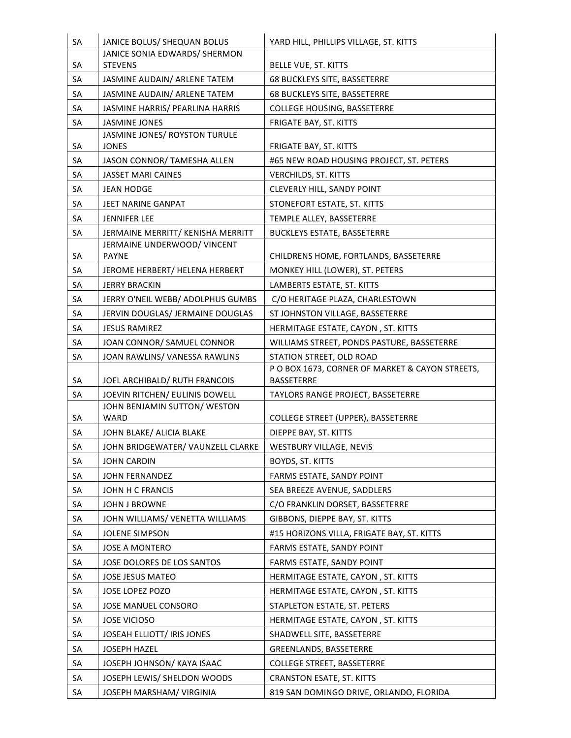| SA       | JANICE BOLUS/ SHEQUAN BOLUS                           | YARD HILL, PHILLIPS VILLAGE, ST. KITTS                               |
|----------|-------------------------------------------------------|----------------------------------------------------------------------|
|          | JANICE SONIA EDWARDS/ SHERMON<br><b>STEVENS</b>       |                                                                      |
| SA       |                                                       | BELLE VUE, ST. KITTS                                                 |
| SA       | JASMINE AUDAIN/ ARLENE TATEM                          | 68 BUCKLEYS SITE, BASSETERRE                                         |
| SA       | JASMINE AUDAIN/ ARLENE TATEM                          | 68 BUCKLEYS SITE, BASSETERRE                                         |
| SA       | JASMINE HARRIS/ PEARLINA HARRIS                       | <b>COLLEGE HOUSING, BASSETERRE</b>                                   |
| SA       | <b>JASMINE JONES</b><br>JASMINE JONES/ ROYSTON TURULE | FRIGATE BAY, ST. KITTS                                               |
| SA       | <b>JONES</b>                                          | FRIGATE BAY, ST. KITTS                                               |
| SA       | JASON CONNOR/ TAMESHA ALLEN                           | #65 NEW ROAD HOUSING PROJECT, ST. PETERS                             |
| SA       | <b>JASSET MARI CAINES</b>                             | VERCHILDS, ST. KITTS                                                 |
| SA       | <b>JEAN HODGE</b>                                     | CLEVERLY HILL, SANDY POINT                                           |
| SA       | JEET NARINE GANPAT                                    | STONEFORT ESTATE, ST. KITTS                                          |
| SA       | <b>JENNIFER LEE</b>                                   | TEMPLE ALLEY, BASSETERRE                                             |
| SA       | JERMAINE MERRITT/ KENISHA MERRITT                     | <b>BUCKLEYS ESTATE, BASSETERRE</b>                                   |
|          | JERMAINE UNDERWOOD/ VINCENT                           |                                                                      |
| SA       | <b>PAYNE</b>                                          | CHILDRENS HOME, FORTLANDS, BASSETERRE                                |
| SA       | JEROME HERBERT/ HELENA HERBERT                        | MONKEY HILL (LOWER), ST. PETERS                                      |
| SA       | <b>JERRY BRACKIN</b>                                  | LAMBERTS ESTATE, ST. KITTS                                           |
| SA       | JERRY O'NEIL WEBB/ ADOLPHUS GUMBS                     | C/O HERITAGE PLAZA, CHARLESTOWN                                      |
| SA       | JERVIN DOUGLAS/ JERMAINE DOUGLAS                      | ST JOHNSTON VILLAGE, BASSETERRE                                      |
| SA       | <b>JESUS RAMIREZ</b>                                  | HERMITAGE ESTATE, CAYON, ST. KITTS                                   |
| SA       | JOAN CONNOR/ SAMUEL CONNOR                            | WILLIAMS STREET, PONDS PASTURE, BASSETERRE                           |
| SA       | JOAN RAWLINS/ VANESSA RAWLINS                         | STATION STREET, OLD ROAD                                             |
|          | JOEL ARCHIBALD/ RUTH FRANCOIS                         | P O BOX 1673, CORNER OF MARKET & CAYON STREETS,<br><b>BASSETERRE</b> |
| SA<br>SA | JOEVIN RITCHEN/ EULINIS DOWELL                        | TAYLORS RANGE PROJECT, BASSETERRE                                    |
|          | JOHN BENJAMIN SUTTON/WESTON                           |                                                                      |
| SA       | <b>WARD</b>                                           | <b>COLLEGE STREET (UPPER), BASSETERRE</b>                            |
| SA       | JOHN BLAKE/ ALICIA BLAKE                              | DIEPPE BAY, ST. KITTS                                                |
| SA       | JOHN BRIDGEWATER/ VAUNZELL CLARKE                     | WESTBURY VILLAGE, NEVIS                                              |
| SA       | <b>JOHN CARDIN</b>                                    | BOYDS, ST. KITTS                                                     |
| SA       | JOHN FERNANDEZ                                        | FARMS ESTATE, SANDY POINT                                            |
| SA       | JOHN H C FRANCIS                                      | SEA BREEZE AVENUE, SADDLERS                                          |
| SA       | JOHN J BROWNE                                         | C/O FRANKLIN DORSET, BASSETERRE                                      |
| SA       | JOHN WILLIAMS/ VENETTA WILLIAMS                       | GIBBONS, DIEPPE BAY, ST. KITTS                                       |
| SA       | <b>JOLENE SIMPSON</b>                                 | #15 HORIZONS VILLA, FRIGATE BAY, ST. KITTS                           |
| SA       | <b>JOSE A MONTERO</b>                                 | FARMS ESTATE, SANDY POINT                                            |
| SA       | JOSE DOLORES DE LOS SANTOS                            | FARMS ESTATE, SANDY POINT                                            |
| SA       | JOSE JESUS MATEO                                      | HERMITAGE ESTATE, CAYON, ST. KITTS                                   |
| SA       | JOSE LOPEZ POZO                                       | HERMITAGE ESTATE, CAYON, ST. KITTS                                   |
| SA       | JOSE MANUEL CONSORO                                   | STAPLETON ESTATE, ST. PETERS                                         |
| SA       | <b>JOSE VICIOSO</b>                                   | HERMITAGE ESTATE, CAYON, ST. KITTS                                   |
| SA       | JOSEAH ELLIOTT/ IRIS JONES                            | SHADWELL SITE, BASSETERRE                                            |
| SA       | JOSEPH HAZEL                                          | GREENLANDS, BASSETERRE                                               |
| SA       | JOSEPH JOHNSON/ KAYA ISAAC                            | <b>COLLEGE STREET, BASSETERRE</b>                                    |
| SA       | JOSEPH LEWIS/ SHELDON WOODS                           | <b>CRANSTON ESATE, ST. KITTS</b>                                     |
| SA       | JOSEPH MARSHAM/ VIRGINIA                              | 819 SAN DOMINGO DRIVE, ORLANDO, FLORIDA                              |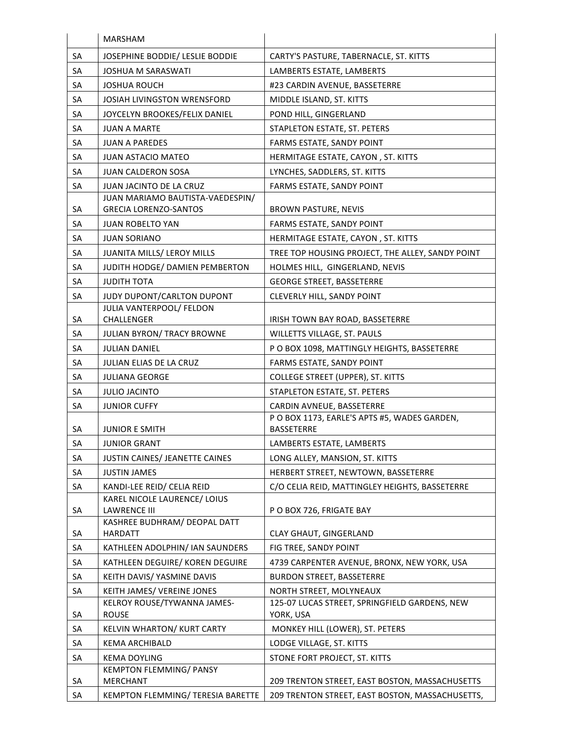|           | <b>MARSHAM</b>                                        |                                                  |
|-----------|-------------------------------------------------------|--------------------------------------------------|
| SA        | JOSEPHINE BODDIE/ LESLIE BODDIE                       | CARTY'S PASTURE, TABERNACLE, ST. KITTS           |
| <b>SA</b> | <b>JOSHUA M SARASWATI</b>                             | LAMBERTS ESTATE, LAMBERTS                        |
| SA        | <b>JOSHUA ROUCH</b>                                   | #23 CARDIN AVENUE, BASSETERRE                    |
| SA        | JOSIAH LIVINGSTON WRENSFORD                           | MIDDLE ISLAND, ST. KITTS                         |
| SA        | JOYCELYN BROOKES/FELIX DANIEL                         | POND HILL, GINGERLAND                            |
| SA        | <b>JUAN A MARTE</b>                                   | STAPLETON ESTATE, ST. PETERS                     |
| SA        | <b>JUAN A PAREDES</b>                                 | FARMS ESTATE, SANDY POINT                        |
| SA        | <b>JUAN ASTACIO MATEO</b>                             | HERMITAGE ESTATE, CAYON, ST. KITTS               |
| <b>SA</b> | <b>JUAN CALDERON SOSA</b>                             | LYNCHES, SADDLERS, ST. KITTS                     |
| SA        | JUAN JACINTO DE LA CRUZ                               | FARMS ESTATE, SANDY POINT                        |
|           | JUAN MARIAMO BAUTISTA-VAEDESPIN/                      |                                                  |
| SA        | <b>GRECIA LORENZO-SANTOS</b>                          | <b>BROWN PASTURE, NEVIS</b>                      |
| SA        | <b>JUAN ROBELTO YAN</b>                               | FARMS ESTATE, SANDY POINT                        |
| SA        | <b>JUAN SORIANO</b>                                   | HERMITAGE ESTATE, CAYON, ST. KITTS               |
| SA        | <b>JUANITA MILLS/ LEROY MILLS</b>                     | TREE TOP HOUSING PROJECT, THE ALLEY, SANDY POINT |
| SA        | JUDITH HODGE/ DAMIEN PEMBERTON                        | HOLMES HILL, GINGERLAND, NEVIS                   |
| SA        | <b>JUDITH TOTA</b>                                    | <b>GEORGE STREET, BASSETERRE</b>                 |
| SA        | JUDY DUPONT/CARLTON DUPONT                            | CLEVERLY HILL, SANDY POINT                       |
| SA        | JULIA VANTERPOOL/ FELDON<br><b>CHALLENGER</b>         | IRISH TOWN BAY ROAD, BASSETERRE                  |
| SA        | <b>JULIAN BYRON/ TRACY BROWNE</b>                     | WILLETTS VILLAGE, ST. PAULS                      |
| SA        | <b>JULIAN DANIEL</b>                                  | P O BOX 1098, MATTINGLY HEIGHTS, BASSETERRE      |
| <b>SA</b> | JULIAN ELIAS DE LA CRUZ                               | FARMS ESTATE, SANDY POINT                        |
| SA        | <b>JULIANA GEORGE</b>                                 | <b>COLLEGE STREET (UPPER), ST. KITTS</b>         |
| SA        | <b>JULIO JACINTO</b>                                  | STAPLETON ESTATE, ST. PETERS                     |
| SA        | <b>JUNIOR CUFFY</b>                                   | CARDIN AVNEUE, BASSETERRE                        |
|           |                                                       | P O BOX 1173, EARLE'S APTS #5, WADES GARDEN,     |
| SA        | <b>JUNIOR E SMITH</b>                                 | <b>BASSETERRE</b>                                |
| SA        | <b>JUNIOR GRANT</b>                                   | LAMBERTS ESTATE, LAMBERTS                        |
| SA        | JUSTIN CAINES/ JEANETTE CAINES                        | LONG ALLEY, MANSION, ST. KITTS                   |
| SA        | <b>JUSTIN JAMES</b>                                   | HERBERT STREET, NEWTOWN, BASSETERRE              |
| SA        | KANDI-LEE REID/ CELIA REID                            | C/O CELIA REID, MATTINGLEY HEIGHTS, BASSETERRE   |
| SA        | KAREL NICOLE LAURENCE/ LOIUS<br><b>LAWRENCE III</b>   | PO BOX 726, FRIGATE BAY                          |
|           | KASHREE BUDHRAM/ DEOPAL DATT                          |                                                  |
| SA        | <b>HARDATT</b>                                        | CLAY GHAUT, GINGERLAND                           |
| SA        | KATHLEEN ADOLPHIN/ IAN SAUNDERS                       | FIG TREE, SANDY POINT                            |
| SA        | KATHLEEN DEGUIRE/ KOREN DEGUIRE                       | 4739 CARPENTER AVENUE, BRONX, NEW YORK, USA      |
| SA        | KEITH DAVIS/ YASMINE DAVIS                            | <b>BURDON STREET, BASSETERRE</b>                 |
| SA        | KEITH JAMES/ VEREINE JONES                            | NORTH STREET, MOLYNEAUX                          |
|           | KELROY ROUSE/TYWANNA JAMES-                           | 125-07 LUCAS STREET, SPRINGFIELD GARDENS, NEW    |
| SA        | <b>ROUSE</b>                                          | YORK, USA                                        |
| SA        | KELVIN WHARTON/ KURT CARTY                            | MONKEY HILL (LOWER), ST. PETERS                  |
| SA        | <b>KEMA ARCHIBALD</b>                                 | LODGE VILLAGE, ST. KITTS                         |
| SA        | <b>KEMA DOYLING</b><br><b>KEMPTON FLEMMING/ PANSY</b> | STONE FORT PROJECT, ST. KITTS                    |
| SA        | MERCHANT                                              | 209 TRENTON STREET, EAST BOSTON, MASSACHUSETTS   |
| SA        | KEMPTON FLEMMING/ TERESIA BARETTE                     | 209 TRENTON STREET, EAST BOSTON, MASSACHUSETTS,  |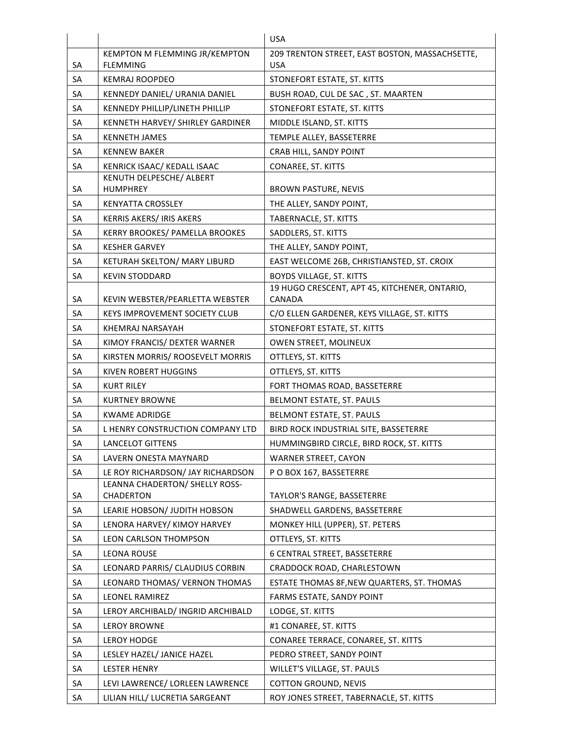|           |                                             | USA.                                                    |
|-----------|---------------------------------------------|---------------------------------------------------------|
|           | KEMPTON M FLEMMING JR/KEMPTON               | 209 TRENTON STREET, EAST BOSTON, MASSACHSETTE,          |
| SA        | <b>FLEMMING</b>                             | USA.                                                    |
| SA        | <b>KEMRAJ ROOPDEO</b>                       | STONEFORT ESTATE, ST. KITTS                             |
| SA        | KENNEDY DANIEL/ URANIA DANIEL               | BUSH ROAD, CUL DE SAC, ST. MAARTEN                      |
| SA        | KENNEDY PHILLIP/LINETH PHILLIP              | STONEFORT ESTATE, ST. KITTS                             |
| SA        | KENNETH HARVEY/ SHIRLEY GARDINER            | MIDDLE ISLAND, ST. KITTS                                |
| <b>SA</b> | <b>KENNETH JAMES</b>                        | TEMPLE ALLEY, BASSETERRE                                |
| SA        | <b>KENNEW BAKER</b>                         | CRAB HILL, SANDY POINT                                  |
| SA        | KENRICK ISAAC/ KEDALL ISAAC                 | CONAREE, ST. KITTS                                      |
|           | KENUTH DELPESCHE/ ALBERT                    |                                                         |
| SA        | <b>HUMPHREY</b>                             | <b>BROWN PASTURE, NEVIS</b>                             |
| SA        | <b>KENYATTA CROSSLEY</b>                    | THE ALLEY, SANDY POINT,                                 |
| SA        | <b>KERRIS AKERS/ IRIS AKERS</b>             | TABERNACLE, ST. KITTS                                   |
| SA        | <b>KERRY BROOKES/ PAMELLA BROOKES</b>       | SADDLERS, ST. KITTS                                     |
| SA        | <b>KESHER GARVEY</b>                        | THE ALLEY, SANDY POINT,                                 |
| <b>SA</b> | KETURAH SKELTON/ MARY LIBURD                | EAST WELCOME 26B, CHRISTIANSTED, ST. CROIX              |
| SA        | <b>KEVIN STODDARD</b>                       | <b>BOYDS VILLAGE, ST. KITTS</b>                         |
| SA        | KEVIN WEBSTER/PEARLETTA WEBSTER             | 19 HUGO CRESCENT, APT 45, KITCHENER, ONTARIO,<br>CANADA |
| SA        | <b>KEYS IMPROVEMENT SOCIETY CLUB</b>        | C/O ELLEN GARDENER, KEYS VILLAGE, ST. KITTS             |
| SA        | KHEMRAJ NARSAYAH                            |                                                         |
| SA        |                                             | STONEFORT ESTATE, ST. KITTS                             |
| SA        | KIMOY FRANCIS/ DEXTER WARNER                | OWEN STREET, MOLINEUX                                   |
|           | KIRSTEN MORRIS/ ROOSEVELT MORRIS            | OTTLEYS, ST. KITTS                                      |
| SA        | <b>KIVEN ROBERT HUGGINS</b>                 | OTTLEYS, ST. KITTS                                      |
| SA        | <b>KURT RILEY</b>                           | FORT THOMAS ROAD, BASSETERRE                            |
| SA        | <b>KURTNEY BROWNE</b>                       | BELMONT ESTATE, ST. PAULS                               |
| SA        | <b>KWAME ADRIDGE</b>                        | BELMONT ESTATE, ST. PAULS                               |
| SA        | L HENRY CONSTRUCTION COMPANY LTD            | BIRD ROCK INDUSTRIAL SITE, BASSETERRE                   |
| SA        | <b>LANCELOT GITTENS</b>                     | HUMMINGBIRD CIRCLE, BIRD ROCK, ST. KITTS                |
| SA        | LAVERN ONESTA MAYNARD                       | <b>WARNER STREET, CAYON</b>                             |
| SA        | LE ROY RICHARDSON/ JAY RICHARDSON           | PO BOX 167, BASSETERRE                                  |
| SA        | LEANNA CHADERTON/ SHELLY ROSS-<br>CHADERTON | TAYLOR'S RANGE, BASSETERRE                              |
| SA        | LEARIE HOBSON/ JUDITH HOBSON                | SHADWELL GARDENS, BASSETERRE                            |
| SA        | LENORA HARVEY/ KIMOY HARVEY                 | MONKEY HILL (UPPER), ST. PETERS                         |
| SA        | LEON CARLSON THOMPSON                       | OTTLEYS, ST. KITTS                                      |
| SA        | <b>LEONA ROUSE</b>                          | 6 CENTRAL STREET, BASSETERRE                            |
| SA        | LEONARD PARRIS/ CLAUDIUS CORBIN             | CRADDOCK ROAD, CHARLESTOWN                              |
| SA        | LEONARD THOMAS/ VERNON THOMAS               | ESTATE THOMAS 8F, NEW QUARTERS, ST. THOMAS              |
| SA        | LEONEL RAMIREZ                              | FARMS ESTATE, SANDY POINT                               |
| SA        | LEROY ARCHIBALD/ INGRID ARCHIBALD           | LODGE, ST. KITTS                                        |
|           |                                             |                                                         |
| SA        | <b>LEROY BROWNE</b>                         | #1 CONAREE, ST. KITTS                                   |
| SA        | <b>LEROY HODGE</b>                          | CONAREE TERRACE, CONAREE, ST. KITTS                     |
| SA        | LESLEY HAZEL/ JANICE HAZEL                  | PEDRO STREET, SANDY POINT                               |
| SA        | <b>LESTER HENRY</b>                         | WILLET'S VILLAGE, ST. PAULS                             |
| SA        | LEVI LAWRENCE/ LORLEEN LAWRENCE             | <b>COTTON GROUND, NEVIS</b>                             |
| SA        | LILIAN HILL/ LUCRETIA SARGEANT              | ROY JONES STREET, TABERNACLE, ST. KITTS                 |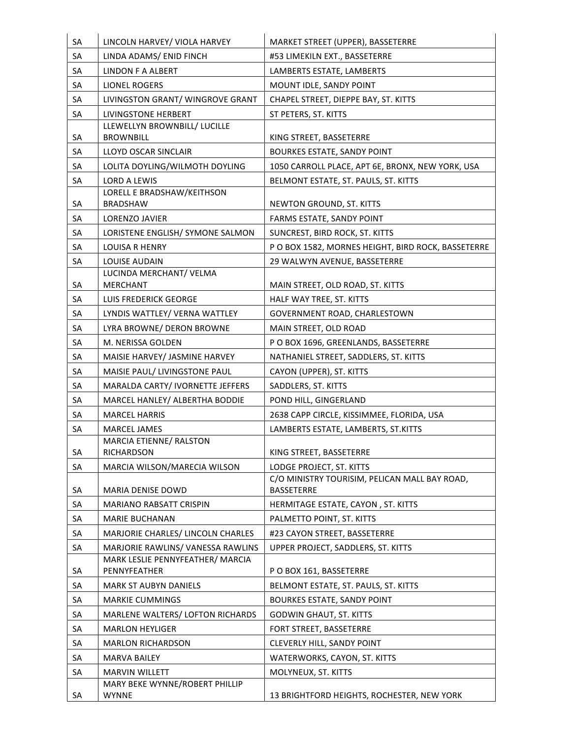| SA | LINCOLN HARVEY/ VIOLA HARVEY                     | MARKET STREET (UPPER), BASSETERRE                                         |
|----|--------------------------------------------------|---------------------------------------------------------------------------|
| SA | LINDA ADAMS/ ENID FINCH                          | #53 LIMEKILN EXT., BASSETERRE                                             |
| SA | <b>LINDON F A ALBERT</b>                         | LAMBERTS ESTATE, LAMBERTS                                                 |
| SA | <b>LIONEL ROGERS</b>                             | MOUNT IDLE, SANDY POINT                                                   |
| SA | LIVINGSTON GRANT/ WINGROVE GRANT                 | CHAPEL STREET, DIEPPE BAY, ST. KITTS                                      |
| SA | LIVINGSTONE HERBERT                              | ST PETERS, ST. KITTS                                                      |
| SA | LLEWELLYN BROWNBILL/ LUCILLE<br><b>BROWNBILL</b> | KING STREET, BASSETERRE                                                   |
| SA | LLOYD OSCAR SINCLAIR                             | <b>BOURKES ESTATE, SANDY POINT</b>                                        |
| SA | LOLITA DOYLING/WILMOTH DOYLING                   | 1050 CARROLL PLACE, APT 6E, BRONX, NEW YORK, USA                          |
| SA | <b>LORD A LEWIS</b>                              | BELMONT ESTATE, ST. PAULS, ST. KITTS                                      |
| SA | LORELL E BRADSHAW/KEITHSON<br><b>BRADSHAW</b>    | NEWTON GROUND, ST. KITTS                                                  |
| SA | LORENZO JAVIER                                   | FARMS ESTATE, SANDY POINT                                                 |
| SA | LORISTENE ENGLISH/ SYMONE SALMON                 | SUNCREST, BIRD ROCK, ST. KITTS                                            |
| SA | <b>LOUISA R HENRY</b>                            | P O BOX 1582, MORNES HEIGHT, BIRD ROCK, BASSETERRE                        |
| SA | <b>LOUISE AUDAIN</b>                             | 29 WALWYN AVENUE, BASSETERRE                                              |
|    | LUCINDA MERCHANT/ VELMA                          |                                                                           |
| SA | <b>MERCHANT</b>                                  | MAIN STREET, OLD ROAD, ST. KITTS                                          |
| SA | LUIS FREDERICK GEORGE                            | HALF WAY TREE, ST. KITTS                                                  |
| SA | LYNDIS WATTLEY/ VERNA WATTLEY                    | GOVERNMENT ROAD, CHARLESTOWN                                              |
| SA | LYRA BROWNE/ DERON BROWNE                        | MAIN STREET, OLD ROAD                                                     |
| SA | M. NERISSA GOLDEN                                | P O BOX 1696, GREENLANDS, BASSETERRE                                      |
| SA | MAISIE HARVEY/ JASMINE HARVEY                    | NATHANIEL STREET, SADDLERS, ST. KITTS                                     |
| SA | MAISIE PAUL/ LIVINGSTONE PAUL                    | CAYON (UPPER), ST. KITTS                                                  |
| SA | MARALDA CARTY/ IVORNETTE JEFFERS                 | SADDLERS, ST. KITTS                                                       |
| SA | MARCEL HANLEY/ ALBERTHA BODDIE                   | POND HILL, GINGERLAND                                                     |
| SA | <b>MARCEL HARRIS</b>                             | 2638 CAPP CIRCLE, KISSIMMEE, FLORIDA, USA                                 |
| SA | MARCEL JAMES                                     | LAMBERTS ESTATE, LAMBERTS, ST.KITTS                                       |
|    | MARCIA ETIENNE/ RALSTON                          |                                                                           |
| SA | <b>RICHARDSON</b>                                | KING STREET, BASSETERRE                                                   |
| SA | MARCIA WILSON/MARECIA WILSON                     | LODGE PROJECT, ST. KITTS<br>C/O MINISTRY TOURISIM, PELICAN MALL BAY ROAD, |
| SA | MARIA DENISE DOWD                                | <b>BASSETERRE</b>                                                         |
| SA | MARIANO RABSATT CRISPIN                          | HERMITAGE ESTATE, CAYON, ST. KITTS                                        |
| SA | <b>MARIE BUCHANAN</b>                            | PALMETTO POINT, ST. KITTS                                                 |
| SA | MARJORIE CHARLES/ LINCOLN CHARLES                | #23 CAYON STREET, BASSETERRE                                              |
| SA | MARJORIE RAWLINS/ VANESSA RAWLINS                | UPPER PROJECT, SADDLERS, ST. KITTS                                        |
| SA | MARK LESLIE PENNYFEATHER/ MARCIA<br>PENNYFEATHER | POBOX 161, BASSETERRE                                                     |
| SA | <b>MARK ST AUBYN DANIELS</b>                     | BELMONT ESTATE, ST. PAULS, ST. KITTS                                      |
| SA | <b>MARKIE CUMMINGS</b>                           | <b>BOURKES ESTATE, SANDY POINT</b>                                        |
| SA | MARLENE WALTERS/ LOFTON RICHARDS                 | <b>GODWIN GHAUT, ST. KITTS</b>                                            |
| SA | <b>MARLON HEYLIGER</b>                           | FORT STREET, BASSETERRE                                                   |
| SA | <b>MARLON RICHARDSON</b>                         | <b>CLEVERLY HILL, SANDY POINT</b>                                         |
| SA | <b>MARVA BAILEY</b>                              | WATERWORKS, CAYON, ST. KITTS                                              |
| SA | <b>MARVIN WILLETT</b>                            | MOLYNEUX, ST. KITTS                                                       |
|    | MARY BEKE WYNNE/ROBERT PHILLIP                   |                                                                           |
| SA | <b>WYNNE</b>                                     | 13 BRIGHTFORD HEIGHTS, ROCHESTER, NEW YORK                                |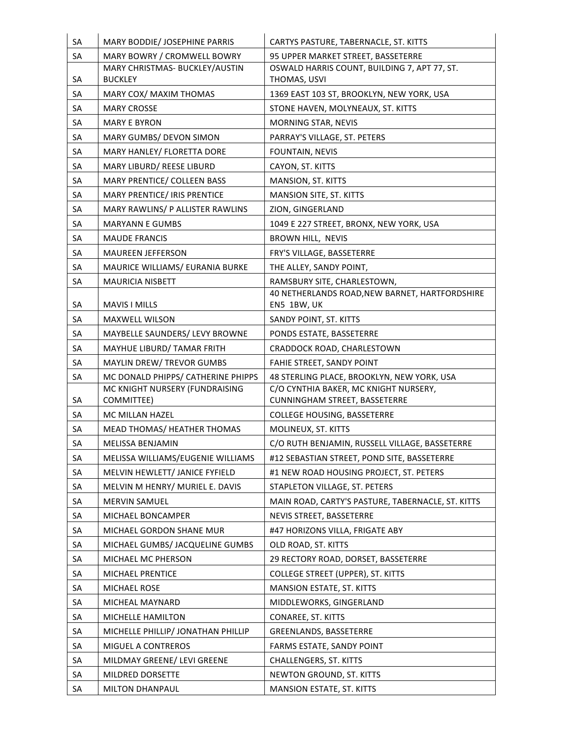| SA        | MARY BODDIE/ JOSEPHINE PARRIS                                        | CARTYS PASTURE, TABERNACLE, ST. KITTS                                               |
|-----------|----------------------------------------------------------------------|-------------------------------------------------------------------------------------|
| SA        | MARY BOWRY / CROMWELL BOWRY                                          | 95 UPPER MARKET STREET, BASSETERRE                                                  |
|           | MARY CHRISTMAS- BUCKLEY/AUSTIN                                       | OSWALD HARRIS COUNT, BUILDING 7, APT 77, ST.                                        |
| SA        | <b>BUCKLEY</b>                                                       | THOMAS, USVI                                                                        |
| SA        | MARY COX/ MAXIM THOMAS                                               | 1369 EAST 103 ST, BROOKLYN, NEW YORK, USA                                           |
| SA        | <b>MARY CROSSE</b>                                                   | STONE HAVEN, MOLYNEAUX, ST. KITTS                                                   |
| <b>SA</b> | <b>MARY E BYRON</b>                                                  | MORNING STAR, NEVIS                                                                 |
| SA        | MARY GUMBS/ DEVON SIMON                                              | PARRAY'S VILLAGE, ST. PETERS                                                        |
| SA        | MARY HANLEY/ FLORETTA DORE                                           | FOUNTAIN, NEVIS                                                                     |
| SA        | MARY LIBURD/ REESE LIBURD                                            | CAYON, ST. KITTS                                                                    |
| SA        | MARY PRENTICE/ COLLEEN BASS                                          | MANSION, ST. KITTS                                                                  |
| SA        | MARY PRENTICE/ IRIS PRENTICE                                         | <b>MANSION SITE, ST. KITTS</b>                                                      |
| SA        | MARY RAWLINS/ P ALLISTER RAWLINS                                     | ZION, GINGERLAND                                                                    |
| SA        | <b>MARYANN E GUMBS</b>                                               | 1049 E 227 STREET, BRONX, NEW YORK, USA                                             |
| SA        | <b>MAUDE FRANCIS</b>                                                 | BROWN HILL, NEVIS                                                                   |
| SA        | <b>MAUREEN JEFFERSON</b>                                             | FRY'S VILLAGE, BASSETERRE                                                           |
| SA        | MAURICE WILLIAMS/ EURANIA BURKE                                      | THE ALLEY, SANDY POINT,                                                             |
| SA        | <b>MAURICIA NISBETT</b>                                              | RAMSBURY SITE, CHARLESTOWN,                                                         |
| SA        | <b>MAVIS I MILLS</b>                                                 | 40 NETHERLANDS ROAD, NEW BARNET, HARTFORDSHIRE<br>EN5 1BW, UK                       |
| SA        | MAXWELL WILSON                                                       | SANDY POINT, ST. KITTS                                                              |
| SA        | MAYBELLE SAUNDERS/ LEVY BROWNE                                       | PONDS ESTATE, BASSETERRE                                                            |
| SA        | MAYHUE LIBURD/ TAMAR FRITH                                           | CRADDOCK ROAD, CHARLESTOWN                                                          |
| SA        | MAYLIN DREW/ TREVOR GUMBS                                            |                                                                                     |
|           |                                                                      | FAHIE STREET, SANDY POINT                                                           |
| SA        | MC DONALD PHIPPS/ CATHERINE PHIPPS<br>MC KNIGHT NURSERY (FUNDRAISING | 48 STERLING PLACE, BROOKLYN, NEW YORK, USA<br>C/O CYNTHIA BAKER, MC KNIGHT NURSERY, |
| SA        | COMMITTEE)                                                           | CUNNINGHAM STREET, BASSETERRE                                                       |
| SA        | <b>MC MILLAN HAZEL</b>                                               | <b>COLLEGE HOUSING, BASSETERRE</b>                                                  |
| SA        | MEAD THOMAS/ HEATHER THOMAS                                          | MOLINEUX, ST. KITTS                                                                 |
| SA        | MELISSA BENJAMIN                                                     | C/O RUTH BENJAMIN, RUSSELL VILLAGE, BASSETERRE                                      |
| SA        | MELISSA WILLIAMS/EUGENIE WILLIAMS                                    | #12 SEBASTIAN STREET, POND SITE, BASSETERRE                                         |
| SA        | MELVIN HEWLETT/ JANICE FYFIELD                                       | #1 NEW ROAD HOUSING PROJECT, ST. PETERS                                             |
| SA        | MELVIN M HENRY/ MURIEL E. DAVIS                                      | STAPLETON VILLAGE, ST. PETERS                                                       |
| SA        | MERVIN SAMUEL                                                        | MAIN ROAD, CARTY'S PASTURE, TABERNACLE, ST. KITTS                                   |
| SA        | MICHAEL BONCAMPER                                                    | NEVIS STREET, BASSETERRE                                                            |
| SA        | MICHAEL GORDON SHANE MUR                                             | #47 HORIZONS VILLA, FRIGATE ABY                                                     |
| SA        | MICHAEL GUMBS/ JACQUELINE GUMBS                                      | OLD ROAD, ST. KITTS                                                                 |
| SA        | MICHAEL MC PHERSON                                                   | 29 RECTORY ROAD, DORSET, BASSETERRE                                                 |
| SA        | MICHAEL PRENTICE                                                     | COLLEGE STREET (UPPER), ST. KITTS                                                   |
| SA        | MICHAEL ROSE                                                         | <b>MANSION ESTATE, ST. KITTS</b>                                                    |
| SA        | MICHEAL MAYNARD                                                      | MIDDLEWORKS, GINGERLAND                                                             |
| SA        | MICHELLE HAMILTON                                                    | CONAREE, ST. KITTS                                                                  |
| SA        | MICHELLE PHILLIP/ JONATHAN PHILLIP                                   | GREENLANDS, BASSETERRE                                                              |
| SA        | MIGUEL A CONTREROS                                                   | FARMS ESTATE, SANDY POINT                                                           |
| SA        | MILDMAY GREENE/ LEVI GREENE                                          | CHALLENGERS, ST. KITTS                                                              |
|           |                                                                      | NEWTON GROUND, ST. KITTS                                                            |
|           |                                                                      |                                                                                     |
| SA<br>SA  | MILDRED DORSETTE<br>MILTON DHANPAUL                                  | <b>MANSION ESTATE, ST. KITTS</b>                                                    |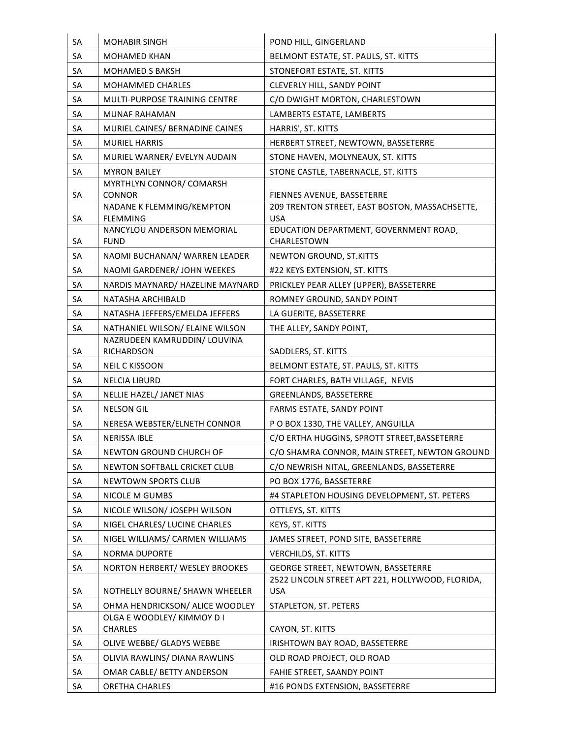| SA | <b>MOHABIR SINGH</b>                         | POND HILL, GINGERLAND                                        |
|----|----------------------------------------------|--------------------------------------------------------------|
| SA | MOHAMED KHAN                                 | BELMONT ESTATE, ST. PAULS, ST. KITTS                         |
| SA | <b>MOHAMED S BAKSH</b>                       | STONEFORT ESTATE, ST. KITTS                                  |
| SA | MOHAMMED CHARLES                             | CLEVERLY HILL, SANDY POINT                                   |
| SA | MULTI-PURPOSE TRAINING CENTRE                | C/O DWIGHT MORTON, CHARLESTOWN                               |
| SA | MUNAF RAHAMAN                                | LAMBERTS ESTATE, LAMBERTS                                    |
| SA | MURIEL CAINES/ BERNADINE CAINES              | HARRIS', ST. KITTS                                           |
| SA | <b>MURIEL HARRIS</b>                         | HERBERT STREET, NEWTOWN, BASSETERRE                          |
| SA | MURIEL WARNER/ EVELYN AUDAIN                 | STONE HAVEN, MOLYNEAUX, ST. KITTS                            |
| SA | <b>MYRON BAILEY</b>                          | STONE CASTLE, TABERNACLE, ST. KITTS                          |
|    | MYRTHLYN CONNOR/ COMARSH                     |                                                              |
| SA | <b>CONNOR</b>                                | FIENNES AVENUE, BASSETERRE                                   |
| SA | NADANE K FLEMMING/KEMPTON<br><b>FLEMMING</b> | 209 TRENTON STREET, EAST BOSTON, MASSACHSETTE,<br><b>USA</b> |
|    | NANCYLOU ANDERSON MEMORIAL                   | EDUCATION DEPARTMENT, GOVERNMENT ROAD,                       |
| SA | <b>FUND</b>                                  | CHARLESTOWN                                                  |
| SA | NAOMI BUCHANAN/ WARREN LEADER                | NEWTON GROUND, ST.KITTS                                      |
| SA | NAOMI GARDENER/ JOHN WEEKES                  | #22 KEYS EXTENSION, ST. KITTS                                |
| SA | NARDIS MAYNARD/ HAZELINE MAYNARD             | PRICKLEY PEAR ALLEY (UPPER), BASSETERRE                      |
| SA | NATASHA ARCHIBALD                            | ROMNEY GROUND, SANDY POINT                                   |
| SA | NATASHA JEFFERS/EMELDA JEFFERS               | LA GUERITE, BASSETERRE                                       |
| SA | NATHANIEL WILSON/ ELAINE WILSON              | THE ALLEY, SANDY POINT,                                      |
|    | NAZRUDEEN KAMRUDDIN/ LOUVINA                 |                                                              |
| SA | <b>RICHARDSON</b>                            | SADDLERS, ST. KITTS                                          |
| SA | <b>NEIL C KISSOON</b>                        | BELMONT ESTATE, ST. PAULS, ST. KITTS                         |
| SA | <b>NELCIA LIBURD</b>                         | FORT CHARLES, BATH VILLAGE, NEVIS                            |
| SA | NELLIE HAZEL/ JANET NIAS                     | GREENLANDS, BASSETERRE                                       |
| SA | <b>NELSON GIL</b>                            | FARMS ESTATE, SANDY POINT                                    |
| SA | NERESA WEBSTER/ELNETH CONNOR                 | P O BOX 1330, THE VALLEY, ANGUILLA                           |
| SА | NERISSA IBLE                                 | C/O ERTHA HUGGINS, SPROTT STREET, BASSETERRE                 |
| SA | NEWTON GROUND CHURCH OF                      | C/O SHAMRA CONNOR, MAIN STREET, NEWTON GROUND                |
| SA | NEWTON SOFTBALL CRICKET CLUB                 | C/O NEWRISH NITAL, GREENLANDS, BASSETERRE                    |
| SA | NEWTOWN SPORTS CLUB                          | PO BOX 1776, BASSETERRE                                      |
| SA | NICOLE M GUMBS                               | #4 STAPLETON HOUSING DEVELOPMENT, ST. PETERS                 |
| SA | NICOLE WILSON/ JOSEPH WILSON                 | OTTLEYS, ST. KITTS                                           |
| SA | NIGEL CHARLES/ LUCINE CHARLES                | KEYS, ST. KITTS                                              |
| SA | NIGEL WILLIAMS/ CARMEN WILLIAMS              | JAMES STREET, POND SITE, BASSETERRE                          |
| SA | <b>NORMA DUPORTE</b>                         | <b>VERCHILDS, ST. KITTS</b>                                  |
| SA | NORTON HERBERT/ WESLEY BROOKES               | GEORGE STREET, NEWTOWN, BASSETERRE                           |
|    |                                              | 2522 LINCOLN STREET APT 221, HOLLYWOOD, FLORIDA,             |
| SA | NOTHELLY BOURNE/ SHAWN WHEELER               | <b>USA</b>                                                   |
| SA | OHMA HENDRICKSON/ ALICE WOODLEY              | STAPLETON, ST. PETERS                                        |
| SA | OLGA E WOODLEY/ KIMMOY D I<br>CHARLES        | CAYON, ST. KITTS                                             |
| SA | OLIVE WEBBE/ GLADYS WEBBE                    | IRISHTOWN BAY ROAD, BASSETERRE                               |
| SA | OLIVIA RAWLINS/ DIANA RAWLINS                | OLD ROAD PROJECT, OLD ROAD                                   |
| SA | OMAR CABLE/ BETTY ANDERSON                   | FAHIE STREET, SAANDY POINT                                   |
|    |                                              |                                                              |
| SA | ORETHA CHARLES                               | #16 PONDS EXTENSION, BASSETERRE                              |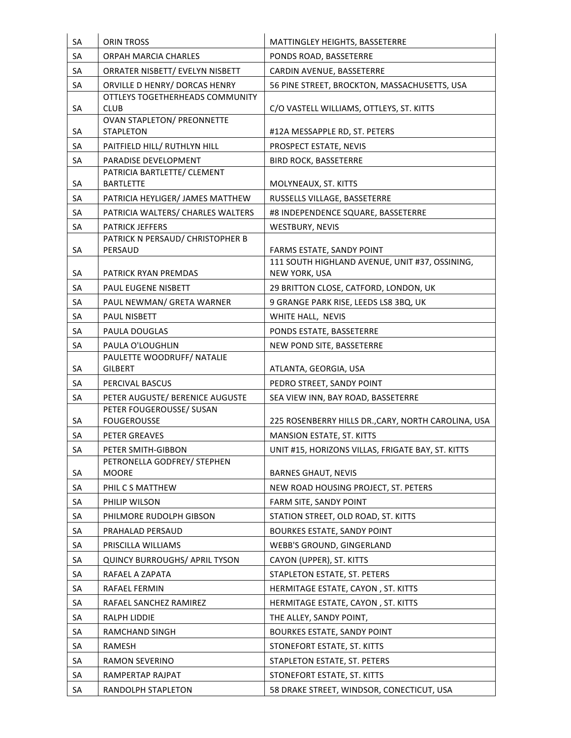| SA        | <b>ORIN TROSS</b>                                | MATTINGLEY HEIGHTS, BASSETERRE                      |
|-----------|--------------------------------------------------|-----------------------------------------------------|
| <b>SA</b> | <b>ORPAH MARCIA CHARLES</b>                      | PONDS ROAD, BASSETERRE                              |
| SA        | ORRATER NISBETT/ EVELYN NISBETT                  | CARDIN AVENUE, BASSETERRE                           |
| SA        | ORVILLE D HENRY/ DORCAS HENRY                    | 56 PINE STREET, BROCKTON, MASSACHUSETTS, USA        |
|           | OTTLEYS TOGETHERHEADS COMMUNITY                  |                                                     |
| SA        | <b>CLUB</b><br><b>OVAN STAPLETON/ PREONNETTE</b> | C/O VASTELL WILLIAMS, OTTLEYS, ST. KITTS            |
| SA        | <b>STAPLETON</b>                                 | #12A MESSAPPLE RD, ST. PETERS                       |
| SA        | PAITFIELD HILL/ RUTHLYN HILL                     | PROSPECT ESTATE, NEVIS                              |
| SA        | PARADISE DEVELOPMENT                             | <b>BIRD ROCK, BASSETERRE</b>                        |
|           | PATRICIA BARTLETTE/ CLEMENT                      |                                                     |
| SA        | <b>BARTLETTE</b>                                 | MOLYNEAUX, ST. KITTS                                |
| SA        | PATRICIA HEYLIGER/ JAMES MATTHEW                 | RUSSELLS VILLAGE, BASSETERRE                        |
| SA        | PATRICIA WALTERS/ CHARLES WALTERS                | #8 INDEPENDENCE SQUARE, BASSETERRE                  |
| SA        | <b>PATRICK JEFFERS</b>                           | <b>WESTBURY, NEVIS</b>                              |
| SA        | PATRICK N PERSAUD/ CHRISTOPHER B<br>PERSAUD      | FARMS ESTATE, SANDY POINT                           |
|           |                                                  | 111 SOUTH HIGHLAND AVENUE, UNIT #37, OSSINING,      |
| SA        | PATRICK RYAN PREMDAS                             | NEW YORK, USA                                       |
| SA        | PAUL EUGENE NISBETT                              | 29 BRITTON CLOSE, CATFORD, LONDON, UK               |
| SA        | PAUL NEWMAN/ GRETA WARNER                        | 9 GRANGE PARK RISE, LEEDS LS8 3BQ, UK               |
| SA        | <b>PAUL NISBETT</b>                              | WHITE HALL, NEVIS                                   |
| SA        | PAULA DOUGLAS                                    | PONDS ESTATE, BASSETERRE                            |
| SA        | PAULA O'LOUGHLIN                                 | NEW POND SITE, BASSETERRE                           |
|           | PAULETTE WOODRUFF/ NATALIE                       |                                                     |
| SA        | <b>GILBERT</b>                                   | ATLANTA, GEORGIA, USA                               |
| SA        | PERCIVAL BASCUS                                  | PEDRO STREET, SANDY POINT                           |
| SA        | PETER AUGUSTE/ BERENICE AUGUSTE                  | SEA VIEW INN, BAY ROAD, BASSETERRE                  |
| SA        | PETER FOUGEROUSSE/ SUSAN<br><b>FOUGEROUSSE</b>   | 225 ROSENBERRY HILLS DR., CARY, NORTH CAROLINA, USA |
| SA        | PETER GREAVES                                    | MANSION ESTATE, ST. KITTS                           |
| SA        | PETER SMITH-GIBBON                               | UNIT #15, HORIZONS VILLAS, FRIGATE BAY, ST. KITTS   |
|           | PETRONELLA GODFREY/ STEPHEN                      |                                                     |
| SA        | <b>MOORE</b>                                     | <b>BARNES GHAUT, NEVIS</b>                          |
| SA        | PHIL C S MATTHEW                                 | NEW ROAD HOUSING PROJECT, ST. PETERS                |
| SA        | PHILIP WILSON                                    | FARM SITE, SANDY POINT                              |
| SA        | PHILMORE RUDOLPH GIBSON                          | STATION STREET, OLD ROAD, ST. KITTS                 |
| SA        | PRAHALAD PERSAUD                                 | BOURKES ESTATE, SANDY POINT                         |
| SA        | PRISCILLA WILLIAMS                               | WEBB'S GROUND, GINGERLAND                           |
| SA        | <b>QUINCY BURROUGHS/ APRIL TYSON</b>             | CAYON (UPPER), ST. KITTS                            |
| SA        | RAFAEL A ZAPATA                                  | STAPLETON ESTATE, ST. PETERS                        |
| SA        | RAFAEL FERMIN                                    | HERMITAGE ESTATE, CAYON, ST. KITTS                  |
| SA        | RAFAEL SANCHEZ RAMIREZ                           | HERMITAGE ESTATE, CAYON, ST. KITTS                  |
| SA        | RALPH LIDDIE                                     | THE ALLEY, SANDY POINT,                             |
| SA        | RAMCHAND SINGH                                   | <b>BOURKES ESTATE, SANDY POINT</b>                  |
| SA        | RAMESH                                           | STONEFORT ESTATE, ST. KITTS                         |
| SA        | RAMON SEVERINO                                   | STAPLETON ESTATE, ST. PETERS                        |
| SA        | RAMPERTAP RAJPAT                                 | STONEFORT ESTATE, ST. KITTS                         |
| SA        | RANDOLPH STAPLETON                               | 58 DRAKE STREET, WINDSOR, CONECTICUT, USA           |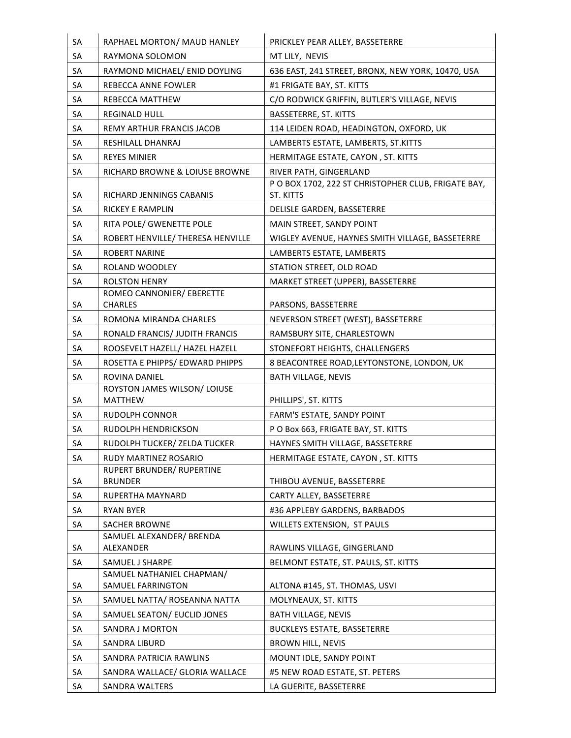| SA | RAPHAEL MORTON/ MAUD HANLEY                    | PRICKLEY PEAR ALLEY, BASSETERRE                                 |
|----|------------------------------------------------|-----------------------------------------------------------------|
| SA | RAYMONA SOLOMON                                | MT LILY, NEVIS                                                  |
| SA | RAYMOND MICHAEL/ ENID DOYLING                  | 636 EAST, 241 STREET, BRONX, NEW YORK, 10470, USA               |
| SA | REBECCA ANNE FOWLER                            | #1 FRIGATE BAY, ST. KITTS                                       |
| SA | REBECCA MATTHEW                                | C/O RODWICK GRIFFIN, BUTLER'S VILLAGE, NEVIS                    |
| SA | <b>REGINALD HULL</b>                           | BASSETERRE, ST. KITTS                                           |
| SA | <b>REMY ARTHUR FRANCIS JACOB</b>               | 114 LEIDEN ROAD, HEADINGTON, OXFORD, UK                         |
| SA | RESHILALL DHANRAJ                              | LAMBERTS ESTATE, LAMBERTS, ST.KITTS                             |
| SA | <b>REYES MINIER</b>                            | HERMITAGE ESTATE, CAYON, ST. KITTS                              |
| SA | RICHARD BROWNE & LOIUSE BROWNE                 | RIVER PATH, GINGERLAND                                          |
| SA | RICHARD JENNINGS CABANIS                       | PO BOX 1702, 222 ST CHRISTOPHER CLUB, FRIGATE BAY,<br>ST. KITTS |
| SA | <b>RICKEY E RAMPLIN</b>                        | DELISLE GARDEN, BASSETERRE                                      |
| SA | RITA POLE/ GWENETTE POLE                       | MAIN STREET, SANDY POINT                                        |
| SA | ROBERT HENVILLE/ THERESA HENVILLE              | WIGLEY AVENUE, HAYNES SMITH VILLAGE, BASSETERRE                 |
| SA | <b>ROBERT NARINE</b>                           | LAMBERTS ESTATE, LAMBERTS                                       |
| SA | ROLAND WOODLEY                                 | STATION STREET, OLD ROAD                                        |
| SA | <b>ROLSTON HENRY</b>                           | MARKET STREET (UPPER), BASSETERRE                               |
|    | ROMEO CANNONIER/ EBERETTE                      |                                                                 |
| SA | <b>CHARLES</b>                                 | PARSONS, BASSETERRE                                             |
| SA | ROMONA MIRANDA CHARLES                         | NEVERSON STREET (WEST), BASSETERRE                              |
| SA | RONALD FRANCIS/ JUDITH FRANCIS                 | RAMSBURY SITE, CHARLESTOWN                                      |
| SA | ROOSEVELT HAZELL/ HAZEL HAZELL                 | STONEFORT HEIGHTS, CHALLENGERS                                  |
| SA | ROSETTA E PHIPPS/EDWARD PHIPPS                 | 8 BEACONTREE ROAD, LEYTONSTONE, LONDON, UK                      |
| SA | ROVINA DANIEL                                  | <b>BATH VILLAGE, NEVIS</b>                                      |
| SA | ROYSTON JAMES WILSON/ LOIUSE<br><b>MATTHEW</b> | PHILLIPS', ST. KITTS                                            |
| SA | RUDOLPH CONNOR                                 | FARM'S ESTATE, SANDY POINT                                      |
| SA | RUDOLPH HENDRICKSON                            | P O Box 663, FRIGATE BAY, ST. KITTS                             |
| SA | RUDOLPH TUCKER/ ZELDA TUCKER                   | HAYNES SMITH VILLAGE, BASSETERRE                                |
| SA | RUDY MARTINEZ ROSARIO                          | HERMITAGE ESTATE, CAYON, ST. KITTS                              |
| SA | RUPERT BRUNDER/ RUPERTINE<br><b>BRUNDER</b>    | THIBOU AVENUE, BASSETERRE                                       |
| SA | RUPERTHA MAYNARD                               | CARTY ALLEY, BASSETERRE                                         |
| SA | <b>RYAN BYER</b>                               | #36 APPLEBY GARDENS, BARBADOS                                   |
| SA | <b>SACHER BROWNE</b>                           | WILLETS EXTENSION, ST PAULS                                     |
|    | SAMUEL ALEXANDER/ BRENDA                       |                                                                 |
| SA | <b>ALEXANDER</b>                               | RAWLINS VILLAGE, GINGERLAND                                     |
| SA | SAMUEL J SHARPE                                | BELMONT ESTATE, ST. PAULS, ST. KITTS                            |
|    | SAMUEL NATHANIEL CHAPMAN/                      |                                                                 |
| SA | SAMUEL FARRINGTON                              | ALTONA #145, ST. THOMAS, USVI                                   |
| SA | SAMUEL NATTA/ ROSEANNA NATTA                   | MOLYNEAUX, ST. KITTS                                            |
| SA | SAMUEL SEATON/ EUCLID JONES                    | <b>BATH VILLAGE, NEVIS</b>                                      |
| SA | SANDRA J MORTON                                | <b>BUCKLEYS ESTATE, BASSETERRE</b>                              |
| SA | <b>SANDRA LIBURD</b>                           | <b>BROWN HILL, NEVIS</b>                                        |
| SA | SANDRA PATRICIA RAWLINS                        | MOUNT IDLE, SANDY POINT                                         |
| SA | SANDRA WALLACE/ GLORIA WALLACE                 | #5 NEW ROAD ESTATE, ST. PETERS                                  |
| SA | SANDRA WALTERS                                 | LA GUERITE, BASSETERRE                                          |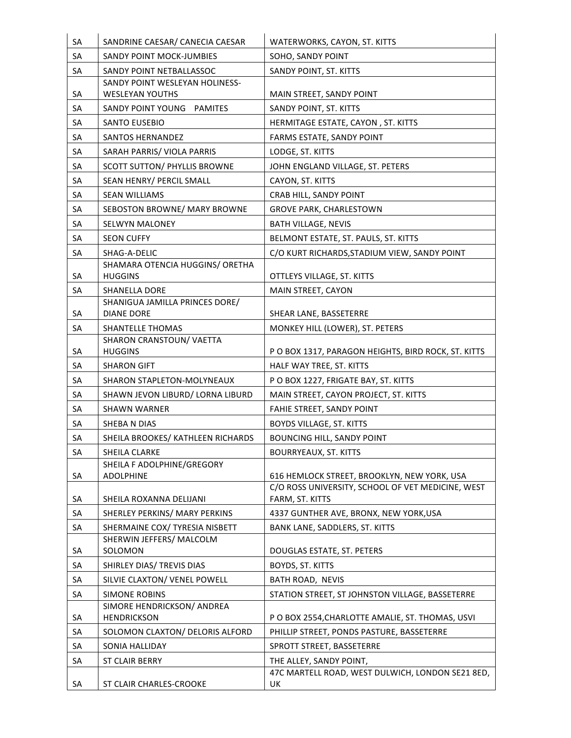| SA | SANDRINE CAESAR/ CANECIA CAESAR                 | WATERWORKS, CAYON, ST. KITTS                                                                     |
|----|-------------------------------------------------|--------------------------------------------------------------------------------------------------|
| SA | <b>SANDY POINT MOCK-JUMBIES</b>                 | SOHO, SANDY POINT                                                                                |
| SA | SANDY POINT NETBALLASSOC                        | SANDY POINT, ST. KITTS                                                                           |
|    | SANDY POINT WESLEYAN HOLINESS-                  |                                                                                                  |
| SA | <b>WESLEYAN YOUTHS</b>                          | MAIN STREET, SANDY POINT                                                                         |
| SA | SANDY POINT YOUNG PAMITES                       | SANDY POINT, ST. KITTS                                                                           |
| SA | <b>SANTO EUSEBIO</b>                            | HERMITAGE ESTATE, CAYON, ST. KITTS                                                               |
| SA | <b>SANTOS HERNANDEZ</b>                         | FARMS ESTATE, SANDY POINT                                                                        |
| SA | SARAH PARRIS/ VIOLA PARRIS                      | LODGE, ST. KITTS                                                                                 |
| SA | <b>SCOTT SUTTON/ PHYLLIS BROWNE</b>             | JOHN ENGLAND VILLAGE, ST. PETERS                                                                 |
| SA | SEAN HENRY/ PERCIL SMALL                        | CAYON, ST. KITTS                                                                                 |
| SA | <b>SEAN WILLIAMS</b>                            | CRAB HILL, SANDY POINT                                                                           |
| SA | SEBOSTON BROWNE/ MARY BROWNE                    | <b>GROVE PARK, CHARLESTOWN</b>                                                                   |
| SA | <b>SELWYN MALONEY</b>                           | <b>BATH VILLAGE, NEVIS</b>                                                                       |
| SA | <b>SEON CUFFY</b>                               | BELMONT ESTATE, ST. PAULS, ST. KITTS                                                             |
| SA | SHAG-A-DELIC<br>SHAMARA OTENCIA HUGGINS/ ORETHA | C/O KURT RICHARDS, STADIUM VIEW, SANDY POINT                                                     |
| SA | <b>HUGGINS</b>                                  | OTTLEYS VILLAGE, ST. KITTS                                                                       |
| SA | <b>SHANELLA DORE</b>                            | MAIN STREET, CAYON                                                                               |
|    | SHANIGUA JAMILLA PRINCES DORE/                  |                                                                                                  |
| SA | <b>DIANE DORE</b>                               | SHEAR LANE, BASSETERRE                                                                           |
| SA | <b>SHANTELLE THOMAS</b>                         | MONKEY HILL (LOWER), ST. PETERS                                                                  |
| SA | SHARON CRANSTOUN/ VAETTA<br><b>HUGGINS</b>      | P O BOX 1317, PARAGON HEIGHTS, BIRD ROCK, ST. KITTS                                              |
| SA | <b>SHARON GIFT</b>                              | HALF WAY TREE, ST. KITTS                                                                         |
| SA | SHARON STAPLETON-MOLYNEAUX                      | P O BOX 1227, FRIGATE BAY, ST. KITTS                                                             |
| SA | SHAWN JEVON LIBURD/ LORNA LIBURD                | MAIN STREET, CAYON PROJECT, ST. KITTS                                                            |
| SA | <b>SHAWN WARNER</b>                             | FAHIE STREET, SANDY POINT                                                                        |
| SA | SHEBA N DIAS                                    | <b>BOYDS VILLAGE, ST. KITTS</b>                                                                  |
| SА | SHEILA BROOKES/ KATHLEEN RICHARDS               | BOUNCING HILL, SANDY POINT                                                                       |
| SA | SHEILA CLARKE                                   | <b>BOURRYEAUX, ST. KITTS</b>                                                                     |
|    | SHEILA F ADOLPHINE/GREGORY                      |                                                                                                  |
| SA | <b>ADOLPHINE</b>                                | 616 HEMLOCK STREET, BROOKLYN, NEW YORK, USA<br>C/O ROSS UNIVERSITY, SCHOOL OF VET MEDICINE, WEST |
| SA | SHEILA ROXANNA DELIJANI                         | FARM, ST. KITTS                                                                                  |
| SA | SHERLEY PERKINS/ MARY PERKINS                   | 4337 GUNTHER AVE, BRONX, NEW YORK, USA                                                           |
| SA | SHERMAINE COX/ TYRESIA NISBETT                  | BANK LANE, SADDLERS, ST. KITTS                                                                   |
| SA | SHERWIN JEFFERS/ MALCOLM<br>SOLOMON             | DOUGLAS ESTATE, ST. PETERS                                                                       |
| SA | SHIRLEY DIAS/ TREVIS DIAS                       | BOYDS, ST. KITTS                                                                                 |
| SA | SILVIE CLAXTON/ VENEL POWELL                    | BATH ROAD, NEVIS                                                                                 |
| SA | <b>SIMONE ROBINS</b>                            | STATION STREET, ST JOHNSTON VILLAGE, BASSETERRE                                                  |
|    | SIMORE HENDRICKSON/ ANDREA                      |                                                                                                  |
| SA | <b>HENDRICKSON</b>                              | P O BOX 2554, CHARLOTTE AMALIE, ST. THOMAS, USVI                                                 |
| SA | SOLOMON CLAXTON/ DELORIS ALFORD                 | PHILLIP STREET, PONDS PASTURE, BASSETERRE                                                        |
| SA | SONIA HALLIDAY                                  | SPROTT STREET, BASSETERRE                                                                        |
| SA | ST CLAIR BERRY                                  | THE ALLEY, SANDY POINT,                                                                          |
|    |                                                 | 47C MARTELL ROAD, WEST DULWICH, LONDON SE21 8ED,                                                 |
| SA | ST CLAIR CHARLES-CROOKE                         | UK                                                                                               |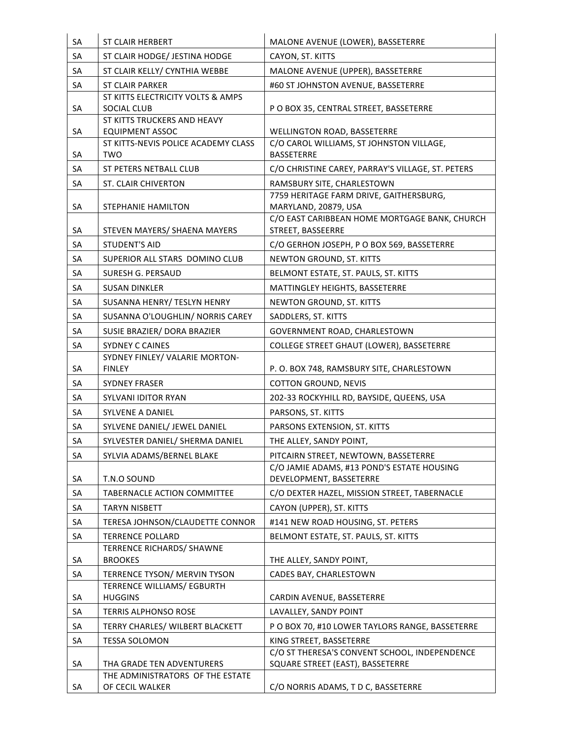| SA | <b>ST CLAIR HERBERT</b>                               | MALONE AVENUE (LOWER), BASSETERRE                                        |
|----|-------------------------------------------------------|--------------------------------------------------------------------------|
| SA | ST CLAIR HODGE/ JESTINA HODGE                         | CAYON, ST. KITTS                                                         |
| SA | ST CLAIR KELLY/ CYNTHIA WEBBE                         | MALONE AVENUE (UPPER), BASSETERRE                                        |
| SA | <b>ST CLAIR PARKER</b>                                | #60 ST JOHNSTON AVENUE, BASSETERRE                                       |
|    | ST KITTS ELECTRICITY VOLTS & AMPS                     |                                                                          |
| SA | SOCIAL CLUB                                           | P O BOX 35, CENTRAL STREET, BASSETERRE                                   |
| SA | ST KITTS TRUCKERS AND HEAVY<br><b>EQUIPMENT ASSOC</b> | <b>WELLINGTON ROAD, BASSETERRE</b>                                       |
|    | ST KITTS-NEVIS POLICE ACADEMY CLASS                   | C/O CAROL WILLIAMS, ST JOHNSTON VILLAGE,                                 |
| SA | <b>TWO</b>                                            | <b>BASSETERRE</b>                                                        |
| SA | <b>ST PETERS NETBALL CLUB</b>                         | C/O CHRISTINE CAREY, PARRAY'S VILLAGE, ST. PETERS                        |
| SA | ST. CLAIR CHIVERTON                                   | RAMSBURY SITE, CHARLESTOWN                                               |
|    |                                                       | 7759 HERITAGE FARM DRIVE, GAITHERSBURG,                                  |
| SA | <b>STEPHANIE HAMILTON</b>                             | MARYLAND, 20879, USA<br>C/O EAST CARIBBEAN HOME MORTGAGE BANK, CHURCH    |
| SA | STEVEN MAYERS/ SHAENA MAYERS                          | STREET, BASSEERRE                                                        |
| SA | <b>STUDENT'S AID</b>                                  | C/O GERHON JOSEPH, P O BOX 569, BASSETERRE                               |
| SA | SUPERIOR ALL STARS DOMINO CLUB                        | NEWTON GROUND, ST. KITTS                                                 |
| SA | SURESH G. PERSAUD                                     | BELMONT ESTATE, ST. PAULS, ST. KITTS                                     |
| SA | <b>SUSAN DINKLER</b>                                  | MATTINGLEY HEIGHTS, BASSETERRE                                           |
| SA | SUSANNA HENRY/ TESLYN HENRY                           | NEWTON GROUND, ST. KITTS                                                 |
| SA | SUSANNA O'LOUGHLIN/ NORRIS CAREY                      | SADDLERS, ST. KITTS                                                      |
| SA | SUSIE BRAZIER/ DORA BRAZIER                           | GOVERNMENT ROAD, CHARLESTOWN                                             |
| SA | <b>SYDNEY C CAINES</b>                                | COLLEGE STREET GHAUT (LOWER), BASSETERRE                                 |
|    | SYDNEY FINLEY/ VALARIE MORTON-                        |                                                                          |
| SA | <b>FINLEY</b>                                         | P.O. BOX 748, RAMSBURY SITE, CHARLESTOWN                                 |
| SA | <b>SYDNEY FRASER</b>                                  | <b>COTTON GROUND, NEVIS</b>                                              |
| SA | SYLVANI IDITOR RYAN                                   | 202-33 ROCKYHILL RD, BAYSIDE, QUEENS, USA                                |
| SA | <b>SYLVENE A DANIEL</b>                               | PARSONS, ST. KITTS                                                       |
| SA | SYLVENE DANIEL/ JEWEL DANIEL                          | PARSONS EXTENSION, ST. KITTS                                             |
| SA | SYLVESTER DANIEL/ SHERMA DANIEL                       | THE ALLEY, SANDY POINT,                                                  |
| SA | SYLVIA ADAMS/BERNEL BLAKE                             | PITCAIRN STREET, NEWTOWN, BASSETERRE                                     |
| SA | T.N.O SOUND                                           | C/O JAMIE ADAMS, #13 POND'S ESTATE HOUSING<br>DEVELOPMENT, BASSETERRE    |
| SA | TABERNACLE ACTION COMMITTEE                           | C/O DEXTER HAZEL, MISSION STREET, TABERNACLE                             |
| SA | <b>TARYN NISBETT</b>                                  | CAYON (UPPER), ST. KITTS                                                 |
| SA | TERESA JOHNSON/CLAUDETTE CONNOR                       | #141 NEW ROAD HOUSING, ST. PETERS                                        |
| SA | <b>TERRENCE POLLARD</b>                               | BELMONT ESTATE, ST. PAULS, ST. KITTS                                     |
|    | <b>TERRENCE RICHARDS/ SHAWNE</b>                      |                                                                          |
| SA | <b>BROOKES</b>                                        | THE ALLEY, SANDY POINT,                                                  |
| SA | TERRENCE TYSON/ MERVIN TYSON                          | CADES BAY, CHARLESTOWN                                                   |
|    | TERRENCE WILLIAMS/ EGBURTH                            |                                                                          |
| SA | <b>HUGGINS</b>                                        | CARDIN AVENUE, BASSETERRE                                                |
| SA | <b>TERRIS ALPHONSO ROSE</b>                           | LAVALLEY, SANDY POINT                                                    |
| SA | TERRY CHARLES/ WILBERT BLACKETT                       | P O BOX 70, #10 LOWER TAYLORS RANGE, BASSETERRE                          |
| SA | TESSA SOLOMON                                         | KING STREET, BASSETERRE<br>C/O ST THERESA'S CONVENT SCHOOL, INDEPENDENCE |
| SA | THA GRADE TEN ADVENTURERS                             | SQUARE STREET (EAST), BASSETERRE                                         |
|    | THE ADMINISTRATORS OF THE ESTATE                      |                                                                          |
| SA | OF CECIL WALKER                                       | C/O NORRIS ADAMS, T D C, BASSETERRE                                      |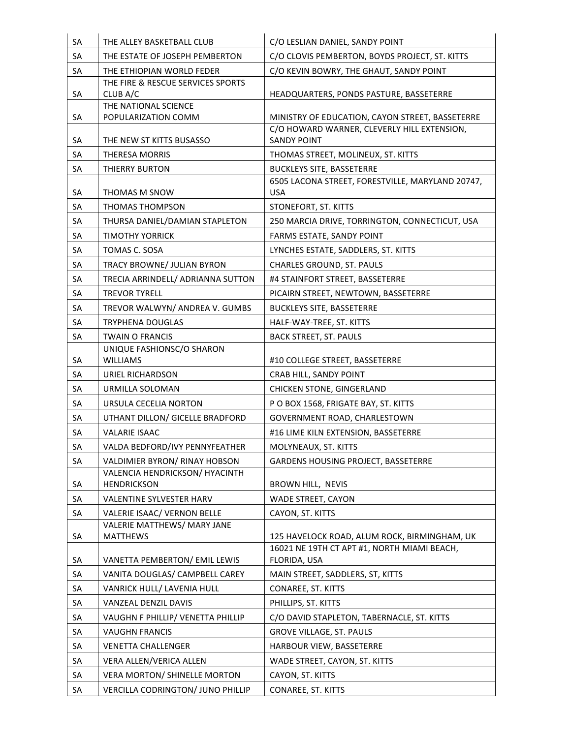| SA       | THE ALLEY BASKETBALL CLUB                                                | C/O LESLIAN DANIEL, SANDY POINT                                                             |
|----------|--------------------------------------------------------------------------|---------------------------------------------------------------------------------------------|
| SA       | THE ESTATE OF JOSEPH PEMBERTON                                           | C/O CLOVIS PEMBERTON, BOYDS PROJECT, ST. KITTS                                              |
| SA       | THE ETHIOPIAN WORLD FEDER                                                | C/O KEVIN BOWRY, THE GHAUT, SANDY POINT                                                     |
|          | THE FIRE & RESCUE SERVICES SPORTS                                        |                                                                                             |
| SA       | CLUB A/C<br>THE NATIONAL SCIENCE                                         | HEADQUARTERS, PONDS PASTURE, BASSETERRE                                                     |
| SA       | POPULARIZATION COMM                                                      | MINISTRY OF EDUCATION, CAYON STREET, BASSETERRE                                             |
|          |                                                                          | C/O HOWARD WARNER, CLEVERLY HILL EXTENSION,                                                 |
| SA       | THE NEW ST KITTS BUSASSO                                                 | <b>SANDY POINT</b>                                                                          |
| SA       | <b>THERESA MORRIS</b>                                                    | THOMAS STREET, MOLINEUX, ST. KITTS                                                          |
| SA       | THIERRY BURTON                                                           | <b>BUCKLEYS SITE, BASSETERRE</b>                                                            |
| SA       | THOMAS M SNOW                                                            | 6505 LACONA STREET, FORESTVILLE, MARYLAND 20747,<br><b>USA</b>                              |
| SA       | THOMAS THOMPSON                                                          | STONEFORT, ST. KITTS                                                                        |
| SA       | THURSA DANIEL/DAMIAN STAPLETON                                           | 250 MARCIA DRIVE, TORRINGTON, CONNECTICUT, USA                                              |
| SA       | <b>TIMOTHY YORRICK</b>                                                   | FARMS ESTATE, SANDY POINT                                                                   |
| SA       | TOMAS C. SOSA                                                            | LYNCHES ESTATE, SADDLERS, ST. KITTS                                                         |
|          |                                                                          |                                                                                             |
| SA       | TRACY BROWNE/ JULIAN BYRON                                               | <b>CHARLES GROUND, ST. PAULS</b>                                                            |
| SA       | TRECIA ARRINDELL/ ADRIANNA SUTTON                                        | #4 STAINFORT STREET, BASSETERRE                                                             |
| SA       | <b>TREVOR TYRELL</b>                                                     | PICAIRN STREET, NEWTOWN, BASSETERRE                                                         |
| SA       | TREVOR WALWYN/ ANDREA V. GUMBS                                           | <b>BUCKLEYS SITE, BASSETERRE</b>                                                            |
| SA       | <b>TRYPHENA DOUGLAS</b>                                                  | HALF-WAY-TREE, ST. KITTS                                                                    |
| SA       | <b>TWAIN O FRANCIS</b>                                                   | <b>BACK STREET, ST. PAULS</b>                                                               |
| SA       | UNIQUE FASHIONSC/O SHARON<br><b>WILLIAMS</b>                             | #10 COLLEGE STREET, BASSETERRE                                                              |
| SA       | URIEL RICHARDSON                                                         | CRAB HILL, SANDY POINT                                                                      |
| SA       | URMILLA SOLOMAN                                                          | CHICKEN STONE, GINGERLAND                                                                   |
| SA       | URSULA CECELIA NORTON                                                    | P O BOX 1568, FRIGATE BAY, ST. KITTS                                                        |
| SA       | UTHANT DILLON/ GICELLE BRADFORD                                          | GOVERNMENT ROAD, CHARLESTOWN                                                                |
| SA       | <b>VALARIE ISAAC</b>                                                     | #16 LIME KILN EXTENSION, BASSETERRE                                                         |
| SA       | VALDA BEDFORD/IVY PENNYFEATHER                                           | MOLYNEAUX, ST. KITTS                                                                        |
| SA       | <b>VALDIMIER BYRON/ RINAY HOBSON</b>                                     | GARDENS HOUSING PROJECT, BASSETERRE                                                         |
|          | VALENCIA HENDRICKSON/ HYACINTH                                           |                                                                                             |
| SA       | <b>HENDRICKSON</b>                                                       | BROWN HILL, NEVIS                                                                           |
| SA       | <b>VALENTINE SYLVESTER HARV</b>                                          | WADE STREET, CAYON                                                                          |
| SA       | VALERIE ISAAC/ VERNON BELLE                                              | CAYON, ST. KITTS                                                                            |
|          | VALERIE MATTHEWS/ MARY JANE                                              |                                                                                             |
| SA       | <b>MATTHEWS</b>                                                          | 125 HAVELOCK ROAD, ALUM ROCK, BIRMINGHAM, UK<br>16021 NE 19TH CT APT #1, NORTH MIAMI BEACH, |
| SA       | VANETTA PEMBERTON/ EMIL LEWIS                                            | FLORIDA, USA                                                                                |
| SA       | VANITA DOUGLAS/ CAMPBELL CAREY                                           | MAIN STREET, SADDLERS, ST, KITTS                                                            |
| SA       | VANRICK HULL/ LAVENIA HULL                                               | CONAREE, ST. KITTS                                                                          |
| SA       | VANZEAL DENZIL DAVIS                                                     | PHILLIPS, ST. KITTS                                                                         |
| SA       | VAUGHN F PHILLIP/ VENETTA PHILLIP                                        | C/O DAVID STAPLETON, TABERNACLE, ST. KITTS                                                  |
| SA       | <b>VAUGHN FRANCIS</b>                                                    | <b>GROVE VILLAGE, ST. PAULS</b>                                                             |
| SA       | <b>VENETTA CHALLENGER</b>                                                | HARBOUR VIEW, BASSETERRE                                                                    |
|          |                                                                          |                                                                                             |
| SA       | VERA ALLEN/VERICA ALLEN                                                  | WADE STREET, CAYON, ST. KITTS                                                               |
| SA<br>SA | <b>VERA MORTON/ SHINELLE MORTON</b><br>VERCILLA CODRINGTON/ JUNO PHILLIP | CAYON, ST. KITTS<br>CONAREE, ST. KITTS                                                      |
|          |                                                                          |                                                                                             |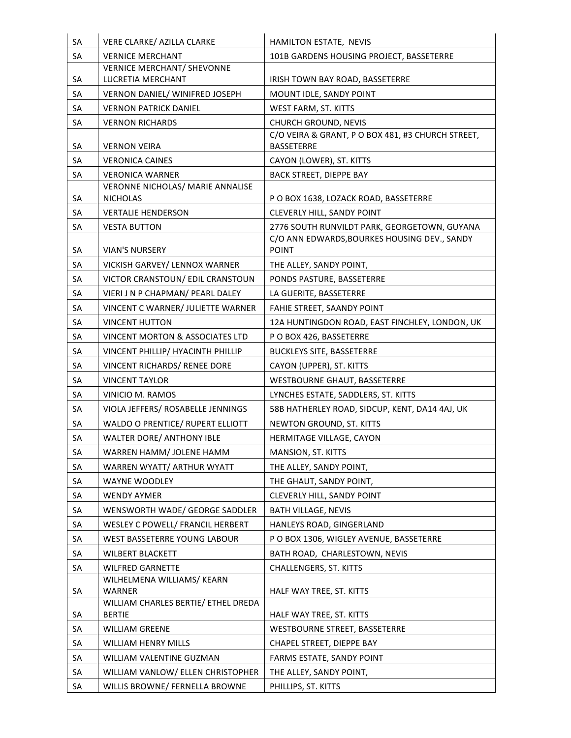| SA       | VERE CLARKE/ AZILLA CLARKE                                            | HAMILTON ESTATE, NEVIS                                                                       |
|----------|-----------------------------------------------------------------------|----------------------------------------------------------------------------------------------|
| SA       | <b>VERNICE MERCHANT</b>                                               | 101B GARDENS HOUSING PROJECT, BASSETERRE                                                     |
| SA       | <b>VERNICE MERCHANT/ SHEVONNE</b><br>LUCRETIA MERCHANT                | IRISH TOWN BAY ROAD, BASSETERRE                                                              |
| SA       | VERNON DANIEL/ WINIFRED JOSEPH                                        | MOUNT IDLE, SANDY POINT                                                                      |
| SA       | <b>VERNON PATRICK DANIEL</b>                                          | WEST FARM, ST. KITTS                                                                         |
| SA       | <b>VERNON RICHARDS</b>                                                | CHURCH GROUND, NEVIS                                                                         |
| SA       | <b>VERNON VEIRA</b>                                                   | C/O VEIRA & GRANT, P O BOX 481, #3 CHURCH STREET,<br><b>BASSETERRE</b>                       |
| SA       | <b>VERONICA CAINES</b>                                                | CAYON (LOWER), ST. KITTS                                                                     |
| SA       | <b>VERONICA WARNER</b>                                                | <b>BACK STREET, DIEPPE BAY</b>                                                               |
|          | <b>VERONNE NICHOLAS/ MARIE ANNALISE</b>                               |                                                                                              |
| SA       | <b>NICHOLAS</b>                                                       | P O BOX 1638, LOZACK ROAD, BASSETERRE                                                        |
| SA       | <b>VERTALIE HENDERSON</b>                                             | CLEVERLY HILL, SANDY POINT                                                                   |
| SA       | <b>VESTA BUTTON</b>                                                   | 2776 SOUTH RUNVILDT PARK, GEORGETOWN, GUYANA<br>C/O ANN EDWARDS, BOURKES HOUSING DEV., SANDY |
| SA       | <b>VIAN'S NURSERY</b>                                                 | <b>POINT</b>                                                                                 |
| SA       | VICKISH GARVEY/ LENNOX WARNER                                         | THE ALLEY, SANDY POINT,                                                                      |
| SA       | VICTOR CRANSTOUN/ EDIL CRANSTOUN                                      | PONDS PASTURE, BASSETERRE                                                                    |
| SA       | VIERI J N P CHAPMAN/ PEARL DALEY                                      | LA GUERITE, BASSETERRE                                                                       |
| SA       | VINCENT C WARNER/ JULIETTE WARNER                                     | FAHIE STREET, SAANDY POINT                                                                   |
| SA       | <b>VINCENT HUTTON</b>                                                 | 12A HUNTINGDON ROAD, EAST FINCHLEY, LONDON, UK                                               |
| SA       | VINCENT MORTON & ASSOCIATES LTD                                       | PO BOX 426, BASSETERRE                                                                       |
| SA       | VINCENT PHILLIP/ HYACINTH PHILLIP                                     | <b>BUCKLEYS SITE, BASSETERRE</b>                                                             |
| SA       | VINCENT RICHARDS/ RENEE DORE                                          | CAYON (UPPER), ST. KITTS                                                                     |
| SA       | <b>VINCENT TAYLOR</b>                                                 | WESTBOURNE GHAUT, BASSETERRE                                                                 |
| SA       | VINICIO M. RAMOS                                                      | LYNCHES ESTATE, SADDLERS, ST. KITTS                                                          |
|          |                                                                       |                                                                                              |
| SA<br>SA | VIOLA JEFFERS/ ROSABELLE JENNINGS<br>WALDO O PRENTICE/ RUPERT ELLIOTT | 58B HATHERLEY ROAD, SIDCUP, KENT, DA14 4AJ, UK                                               |
| SA       | WALTER DORE/ ANTHONY IBLE                                             | NEWTON GROUND, ST. KITTS<br>HERMITAGE VILLAGE, CAYON                                         |
|          | WARREN HAMM/ JOLENE HAMM                                              |                                                                                              |
| SA<br>SA | WARREN WYATT/ ARTHUR WYATT                                            | MANSION, ST. KITTS<br>THE ALLEY, SANDY POINT,                                                |
| SA       | WAYNE WOODLEY                                                         | THE GHAUT, SANDY POINT,                                                                      |
| SA       | WENDY AYMER                                                           | CLEVERLY HILL, SANDY POINT                                                                   |
|          | WENSWORTH WADE/ GEORGE SADDLER                                        |                                                                                              |
| SA<br>SA | WESLEY C POWELL/ FRANCIL HERBERT                                      | <b>BATH VILLAGE, NEVIS</b><br>HANLEYS ROAD, GINGERLAND                                       |
| SA       | WEST BASSETERRE YOUNG LABOUR                                          | P O BOX 1306, WIGLEY AVENUE, BASSETERRE                                                      |
| SA       | WILBERT BLACKETT                                                      | BATH ROAD, CHARLESTOWN, NEVIS                                                                |
|          | <b>WILFRED GARNETTE</b>                                               |                                                                                              |
| SA       | WILHELMENA WILLIAMS/ KEARN                                            | <b>CHALLENGERS, ST. KITTS</b>                                                                |
| SA       | <b>WARNER</b>                                                         | HALF WAY TREE, ST. KITTS                                                                     |
|          | WILLIAM CHARLES BERTIE/ ETHEL DREDA                                   |                                                                                              |
| SA       | <b>BERTIE</b>                                                         | HALF WAY TREE, ST. KITTS                                                                     |
| SA       | <b>WILLIAM GREENE</b>                                                 | WESTBOURNE STREET, BASSETERRE                                                                |
| SA       | WILLIAM HENRY MILLS                                                   | CHAPEL STREET, DIEPPE BAY                                                                    |
| SA       | WILLIAM VALENTINE GUZMAN                                              | FARMS ESTATE, SANDY POINT                                                                    |
| SA       | WILLIAM VANLOW/ ELLEN CHRISTOPHER                                     | THE ALLEY, SANDY POINT,                                                                      |
| SA       | WILLIS BROWNE/ FERNELLA BROWNE                                        | PHILLIPS, ST. KITTS                                                                          |